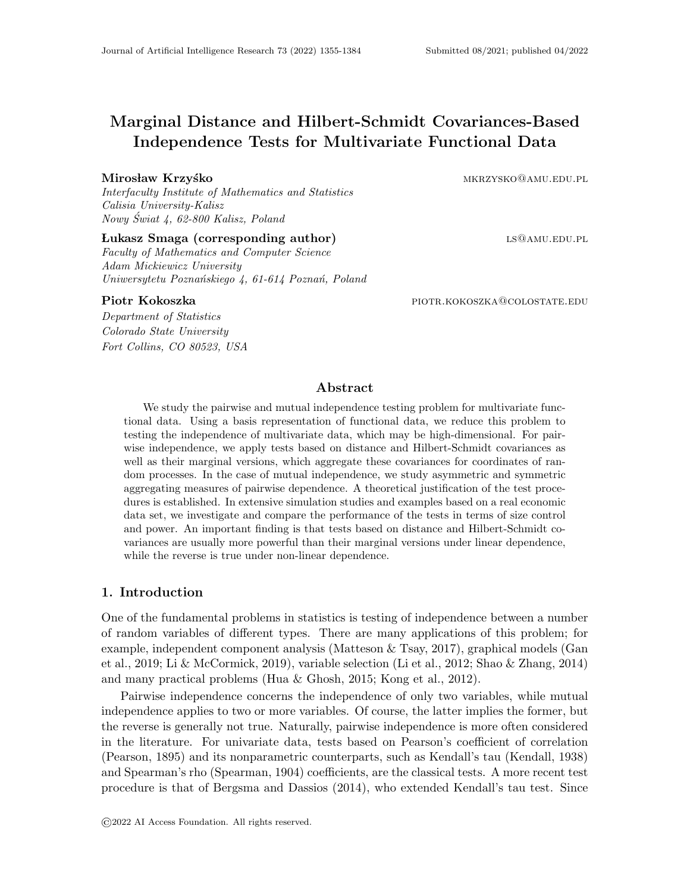# Marginal Distance and Hilbert-Schmidt Covariances-Based Independence Tests for Multivariate Functional Data

# Mirosław Krzyśko **miestorych miestorych miestorych miestorych miestorych miestorych miestorych miestorych miesto**

Interfaculty Institute of Mathematics and Statistics Calisia University-Kalisz Nowy Swiat 4, 62-800 Kalisz, Poland ´

# Lukasz Smaga (corresponding author) ls@amu.edu.pl

Faculty of Mathematics and Computer Science Adam Mickiewicz University Uniwersytetu Poznańskiego 4, 61-614 Poznań, Poland

Department of Statistics Colorado State University Fort Collins, CO 80523, USA

Piotr Kokoszka **piotrakokoszka** piotre.kokoszka@colostate.edu

# Abstract

We study the pairwise and mutual independence testing problem for multivariate functional data. Using a basis representation of functional data, we reduce this problem to testing the independence of multivariate data, which may be high-dimensional. For pairwise independence, we apply tests based on distance and Hilbert-Schmidt covariances as well as their marginal versions, which aggregate these covariances for coordinates of random processes. In the case of mutual independence, we study asymmetric and symmetric aggregating measures of pairwise dependence. A theoretical justification of the test procedures is established. In extensive simulation studies and examples based on a real economic data set, we investigate and compare the performance of the tests in terms of size control and power. An important finding is that tests based on distance and Hilbert-Schmidt covariances are usually more powerful than their marginal versions under linear dependence, while the reverse is true under non-linear dependence.

# 1. Introduction

One of the fundamental problems in statistics is testing of independence between a number of random variables of different types. There are many applications of this problem; for example, independent component analysis (Matteson & Tsay, 2017), graphical models (Gan et al., 2019; Li & McCormick, 2019), variable selection (Li et al., 2012; Shao & Zhang, 2014) and many practical problems (Hua & Ghosh, 2015; Kong et al., 2012).

Pairwise independence concerns the independence of only two variables, while mutual independence applies to two or more variables. Of course, the latter implies the former, but the reverse is generally not true. Naturally, pairwise independence is more often considered in the literature. For univariate data, tests based on Pearson's coefficient of correlation (Pearson, 1895) and its nonparametric counterparts, such as Kendall's tau (Kendall, 1938) and Spearman's rho (Spearman, 1904) coefficients, are the classical tests. A more recent test procedure is that of Bergsma and Dassios (2014), who extended Kendall's tau test. Since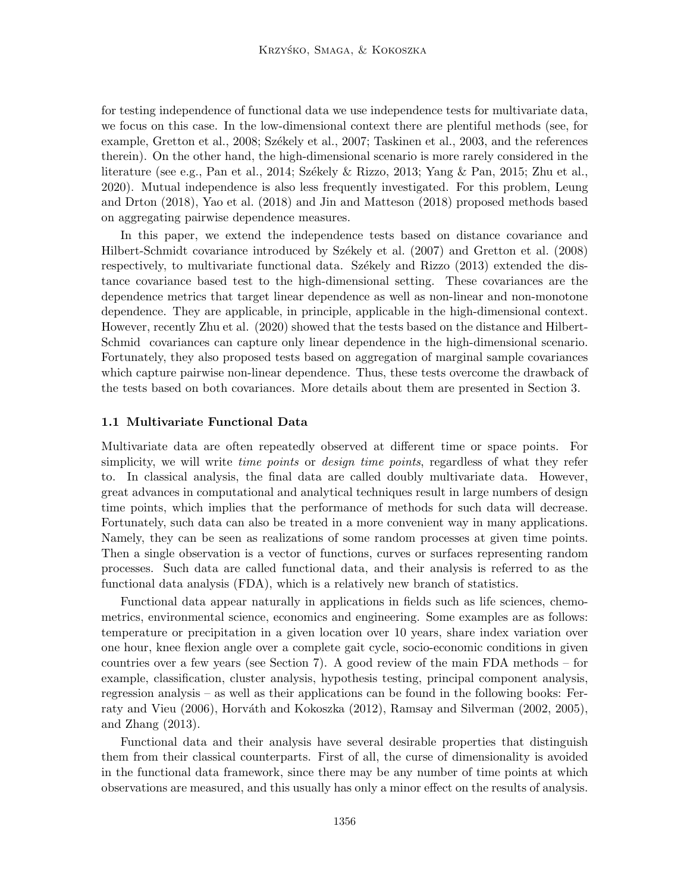for testing independence of functional data we use independence tests for multivariate data, we focus on this case. In the low-dimensional context there are plentiful methods (see, for example, Gretton et al., 2008; Székely et al., 2007; Taskinen et al., 2003, and the references therein). On the other hand, the high-dimensional scenario is more rarely considered in the literature (see e.g., Pan et al., 2014; Székely & Rizzo, 2013; Yang & Pan, 2015; Zhu et al., 2020). Mutual independence is also less frequently investigated. For this problem, Leung and Drton (2018), Yao et al. (2018) and Jin and Matteson (2018) proposed methods based on aggregating pairwise dependence measures.

In this paper, we extend the independence tests based on distance covariance and Hilbert-Schmidt covariance introduced by Székely et al. (2007) and Gretton et al. (2008) respectively, to multivariate functional data. Székely and Rizzo  $(2013)$  extended the distance covariance based test to the high-dimensional setting. These covariances are the dependence metrics that target linear dependence as well as non-linear and non-monotone dependence. They are applicable, in principle, applicable in the high-dimensional context. However, recently Zhu et al. (2020) showed that the tests based on the distance and Hilbert-Schmid covariances can capture only linear dependence in the high-dimensional scenario. Fortunately, they also proposed tests based on aggregation of marginal sample covariances which capture pairwise non-linear dependence. Thus, these tests overcome the drawback of the tests based on both covariances. More details about them are presented in Section 3.

# 1.1 Multivariate Functional Data

Multivariate data are often repeatedly observed at different time or space points. For simplicity, we will write *time points* or *design time points*, regardless of what they refer to. In classical analysis, the final data are called doubly multivariate data. However, great advances in computational and analytical techniques result in large numbers of design time points, which implies that the performance of methods for such data will decrease. Fortunately, such data can also be treated in a more convenient way in many applications. Namely, they can be seen as realizations of some random processes at given time points. Then a single observation is a vector of functions, curves or surfaces representing random processes. Such data are called functional data, and their analysis is referred to as the functional data analysis (FDA), which is a relatively new branch of statistics.

Functional data appear naturally in applications in fields such as life sciences, chemometrics, environmental science, economics and engineering. Some examples are as follows: temperature or precipitation in a given location over 10 years, share index variation over one hour, knee flexion angle over a complete gait cycle, socio-economic conditions in given countries over a few years (see Section 7). A good review of the main FDA methods – for example, classification, cluster analysis, hypothesis testing, principal component analysis, regression analysis – as well as their applications can be found in the following books: Ferraty and Vieu  $(2006)$ , Horváth and Kokoszka  $(2012)$ , Ramsay and Silverman  $(2002, 2005)$ , and Zhang (2013).

Functional data and their analysis have several desirable properties that distinguish them from their classical counterparts. First of all, the curse of dimensionality is avoided in the functional data framework, since there may be any number of time points at which observations are measured, and this usually has only a minor effect on the results of analysis.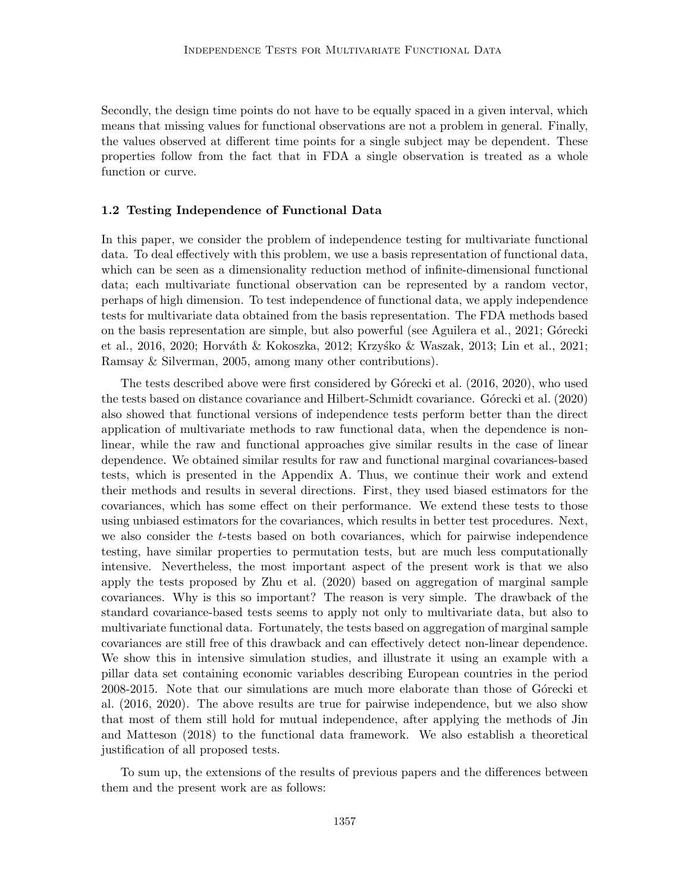Secondly, the design time points do not have to be equally spaced in a given interval, which means that missing values for functional observations are not a problem in general. Finally, the values observed at different time points for a single subject may be dependent. These properties follow from the fact that in FDA a single observation is treated as a whole function or curve.

### 1.2 Testing Independence of Functional Data

In this paper, we consider the problem of independence testing for multivariate functional data. To deal effectively with this problem, we use a basis representation of functional data, which can be seen as a dimensionality reduction method of infinite-dimensional functional data; each multivariate functional observation can be represented by a random vector, perhaps of high dimension. To test independence of functional data, we apply independence tests for multivariate data obtained from the basis representation. The FDA methods based on the basis representation are simple, but also powerful (see Aguilera et al., 2021; Górecki et al., 2016, 2020; Horváth & Kokoszka, 2012; Krzyśko & Waszak, 2013; Lin et al., 2021; Ramsay & Silverman, 2005, among many other contributions).

The tests described above were first considered by Górecki et al. (2016, 2020), who used the tests based on distance covariance and Hilbert-Schmidt covariance. Górecki et al. (2020) also showed that functional versions of independence tests perform better than the direct application of multivariate methods to raw functional data, when the dependence is nonlinear, while the raw and functional approaches give similar results in the case of linear dependence. We obtained similar results for raw and functional marginal covariances-based tests, which is presented in the Appendix A. Thus, we continue their work and extend their methods and results in several directions. First, they used biased estimators for the covariances, which has some effect on their performance. We extend these tests to those using unbiased estimators for the covariances, which results in better test procedures. Next, we also consider the t-tests based on both covariances, which for pairwise independence testing, have similar properties to permutation tests, but are much less computationally intensive. Nevertheless, the most important aspect of the present work is that we also apply the tests proposed by Zhu et al. (2020) based on aggregation of marginal sample covariances. Why is this so important? The reason is very simple. The drawback of the standard covariance-based tests seems to apply not only to multivariate data, but also to multivariate functional data. Fortunately, the tests based on aggregation of marginal sample covariances are still free of this drawback and can effectively detect non-linear dependence. We show this in intensive simulation studies, and illustrate it using an example with a pillar data set containing economic variables describing European countries in the period 2008-2015. Note that our simulations are much more elaborate than those of Górecki et al. (2016, 2020). The above results are true for pairwise independence, but we also show that most of them still hold for mutual independence, after applying the methods of Jin and Matteson (2018) to the functional data framework. We also establish a theoretical justification of all proposed tests.

To sum up, the extensions of the results of previous papers and the differences between them and the present work are as follows: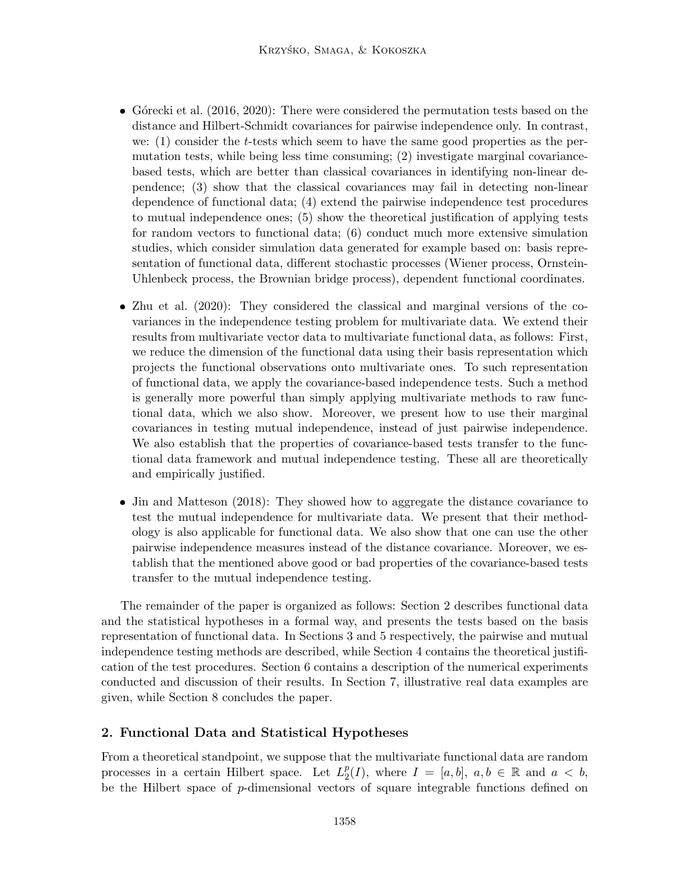- Górecki et al.  $(2016, 2020)$ : There were considered the permutation tests based on the distance and Hilbert-Schmidt covariances for pairwise independence only. In contrast, we: (1) consider the t-tests which seem to have the same good properties as the permutation tests, while being less time consuming; (2) investigate marginal covariancebased tests, which are better than classical covariances in identifying non-linear dependence; (3) show that the classical covariances may fail in detecting non-linear dependence of functional data; (4) extend the pairwise independence test procedures to mutual independence ones; (5) show the theoretical justification of applying tests for random vectors to functional data; (6) conduct much more extensive simulation studies, which consider simulation data generated for example based on: basis representation of functional data, different stochastic processes (Wiener process, Ornstein-Uhlenbeck process, the Brownian bridge process), dependent functional coordinates.
- Zhu et al. (2020): They considered the classical and marginal versions of the covariances in the independence testing problem for multivariate data. We extend their results from multivariate vector data to multivariate functional data, as follows: First, we reduce the dimension of the functional data using their basis representation which projects the functional observations onto multivariate ones. To such representation of functional data, we apply the covariance-based independence tests. Such a method is generally more powerful than simply applying multivariate methods to raw functional data, which we also show. Moreover, we present how to use their marginal covariances in testing mutual independence, instead of just pairwise independence. We also establish that the properties of covariance-based tests transfer to the functional data framework and mutual independence testing. These all are theoretically and empirically justified.
- Jin and Matteson (2018): They showed how to aggregate the distance covariance to test the mutual independence for multivariate data. We present that their methodology is also applicable for functional data. We also show that one can use the other pairwise independence measures instead of the distance covariance. Moreover, we establish that the mentioned above good or bad properties of the covariance-based tests transfer to the mutual independence testing.

The remainder of the paper is organized as follows: Section 2 describes functional data and the statistical hypotheses in a formal way, and presents the tests based on the basis representation of functional data. In Sections 3 and 5 respectively, the pairwise and mutual independence testing methods are described, while Section 4 contains the theoretical justification of the test procedures. Section 6 contains a description of the numerical experiments conducted and discussion of their results. In Section 7, illustrative real data examples are given, while Section 8 concludes the paper.

# 2. Functional Data and Statistical Hypotheses

From a theoretical standpoint, we suppose that the multivariate functional data are random processes in a certain Hilbert space. Let  $L_2^p$  $_{2}^{p}(I)$ , where  $I = [a, b]$ ,  $a, b \in \mathbb{R}$  and  $a < b$ , be the Hilbert space of p-dimensional vectors of square integrable functions defined on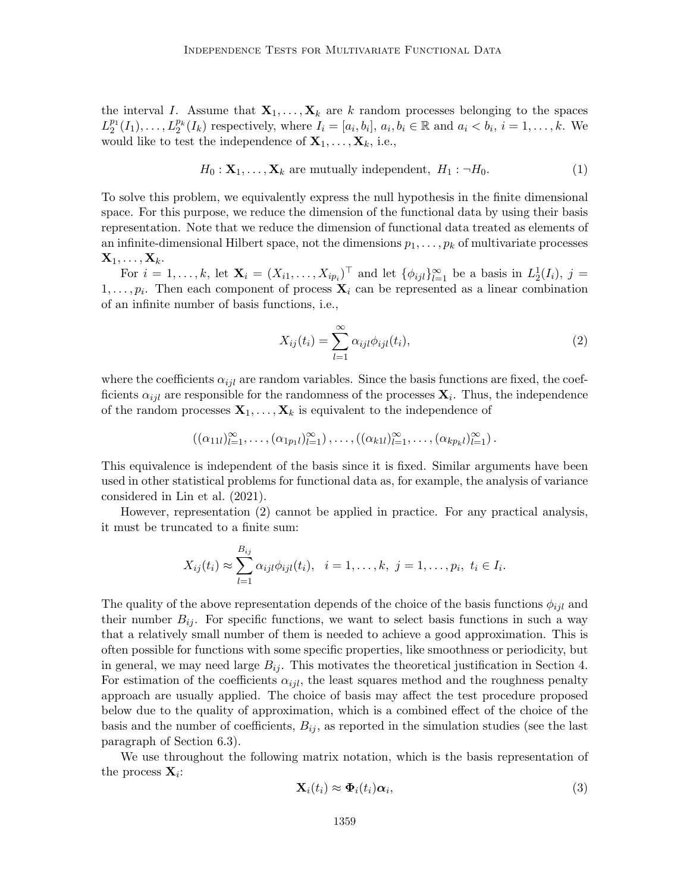the interval I. Assume that  $X_1, \ldots, X_k$  are k random processes belonging to the spaces  $L_2^{p_1}(I_1),\ldots,L_2^{p_k}(I_k)$  respectively, where  $I_i=[a_i,b_i], a_i,b_i\in\mathbb{R}$  and  $a_i. We$ would like to test the independence of  $X_1, \ldots, X_k$ , i.e.,

$$
H_0: \mathbf{X}_1, \dots, \mathbf{X}_k \text{ are mutually independent, } H_1: \neg H_0. \tag{1}
$$

To solve this problem, we equivalently express the null hypothesis in the finite dimensional space. For this purpose, we reduce the dimension of the functional data by using their basis representation. Note that we reduce the dimension of functional data treated as elements of an infinite-dimensional Hilbert space, not the dimensions  $p_1, \ldots, p_k$  of multivariate processes  $\mathbf{X}_1, \ldots, \mathbf{X}_k$ .

For  $i = 1, \ldots, k$ , let  $\mathbf{X}_i = (X_{i1}, \ldots, X_{ip_i})^\top$  and let  $\{\phi_{ijl}\}_{l=1}^\infty$  be a basis in  $L_2^1(I_i)$ ,  $j =$  $1, \ldots, p_i$ . Then each component of process  $\mathbf{X}_i$  can be represented as a linear combination of an infinite number of basis functions, i.e.,

$$
X_{ij}(t_i) = \sum_{l=1}^{\infty} \alpha_{ijl} \phi_{ijl}(t_i),
$$
\n(2)

where the coefficients  $\alpha_{iil}$  are random variables. Since the basis functions are fixed, the coefficients  $\alpha_{ijl}$  are responsible for the randomness of the processes  $\mathbf{X}_i$ . Thus, the independence of the random processes  $X_1, \ldots, X_k$  is equivalent to the independence of

$$
((\alpha_{11l})_{l=1}^{\infty},\ldots,(\alpha_{1p_1l})_{l=1}^{\infty}),\ldots,((\alpha_{k1l})_{l=1}^{\infty},\ldots,(\alpha_{kp_kl})_{l=1}^{\infty}).
$$

This equivalence is independent of the basis since it is fixed. Similar arguments have been used in other statistical problems for functional data as, for example, the analysis of variance considered in Lin et al. (2021).

However, representation (2) cannot be applied in practice. For any practical analysis, it must be truncated to a finite sum:

$$
X_{ij}(t_i) \approx \sum_{l=1}^{B_{ij}} \alpha_{ijl} \phi_{ijl}(t_i), \quad i=1,\ldots,k, \ j=1,\ldots,p_i, \ t_i \in I_i.
$$

The quality of the above representation depends of the choice of the basis functions  $\phi_{ijl}$  and their number  $B_{ij}$ . For specific functions, we want to select basis functions in such a way that a relatively small number of them is needed to achieve a good approximation. This is often possible for functions with some specific properties, like smoothness or periodicity, but in general, we may need large  $B_{ij}$ . This motivates the theoretical justification in Section 4. For estimation of the coefficients  $\alpha_{ijl}$ , the least squares method and the roughness penalty approach are usually applied. The choice of basis may affect the test procedure proposed below due to the quality of approximation, which is a combined effect of the choice of the basis and the number of coefficients,  $B_{ij}$ , as reported in the simulation studies (see the last paragraph of Section 6.3).

We use throughout the following matrix notation, which is the basis representation of the process  $\mathbf{X}_i$ :

$$
\mathbf{X}_i(t_i) \approx \mathbf{\Phi}_i(t_i) \alpha_i, \tag{3}
$$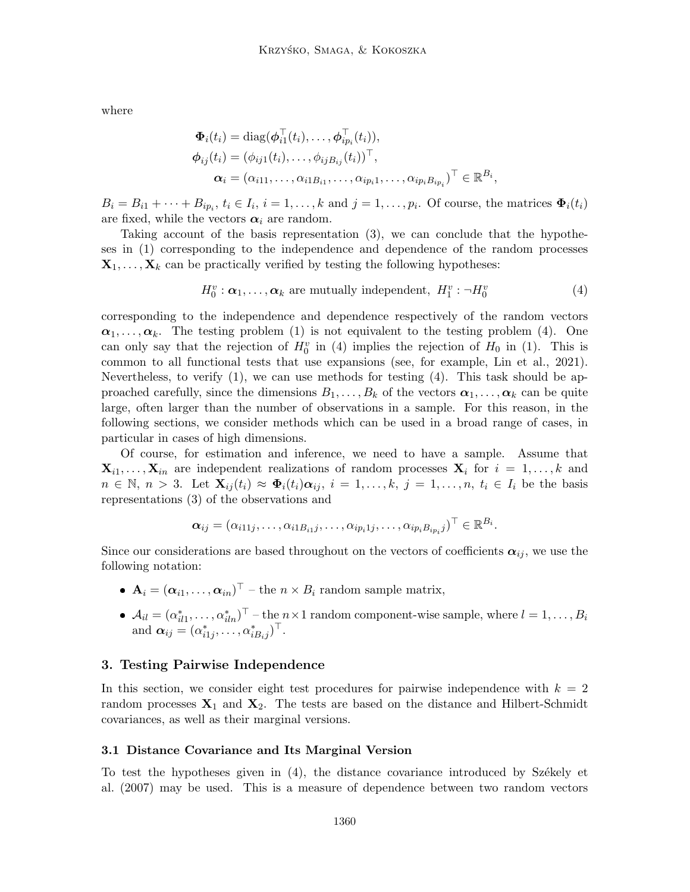where

$$
\Phi_i(t_i) = \text{diag}(\boldsymbol{\phi}_{i1}^\top(t_i), \dots, \boldsymbol{\phi}_{ip_i}^\top(t_i)),
$$
  
\n
$$
\boldsymbol{\phi}_{ij}(t_i) = (\phi_{ij1}(t_i), \dots, \phi_{ijB_{ij}}(t_i))^\top,
$$
  
\n
$$
\boldsymbol{\alpha}_i = (\alpha_{i11}, \dots, \alpha_{i1B_{i1}}, \dots, \alpha_{ip_i1}, \dots, \alpha_{ip_iB_{ip_i}})^\top \in \mathbb{R}^{B_i},
$$

 $B_i = B_{i1} + \cdots + B_{ip_i}, t_i \in I_i, i = 1, \ldots, k$  and  $j = 1, \ldots, p_i$ . Of course, the matrices  $\Phi_i(t_i)$ are fixed, while the vectors  $\alpha_i$  are random.

Taking account of the basis representation (3), we can conclude that the hypotheses in (1) corresponding to the independence and dependence of the random processes  $\mathbf{X}_1, \ldots, \mathbf{X}_k$  can be practically verified by testing the following hypotheses:

$$
H_0^v : \boldsymbol{\alpha}_1, \dots, \boldsymbol{\alpha}_k \text{ are mutually independent, } H_1^v : \neg H_0^v \tag{4}
$$

corresponding to the independence and dependence respectively of the random vectors  $\alpha_1, \ldots, \alpha_k$ . The testing problem (1) is not equivalent to the testing problem (4). One can only say that the rejection of  $H_0^v$  in (4) implies the rejection of  $H_0$  in (1). This is common to all functional tests that use expansions (see, for example, Lin et al., 2021). Nevertheless, to verify (1), we can use methods for testing (4). This task should be approached carefully, since the dimensions  $B_1, \ldots, B_k$  of the vectors  $\alpha_1, \ldots, \alpha_k$  can be quite large, often larger than the number of observations in a sample. For this reason, in the following sections, we consider methods which can be used in a broad range of cases, in particular in cases of high dimensions.

Of course, for estimation and inference, we need to have a sample. Assume that  $\mathbf{X}_{i1}, \ldots, \mathbf{X}_{in}$  are independent realizations of random processes  $\mathbf{X}_{i}$  for  $i = 1, \ldots, k$  and  $n \in \mathbb{N}, n > 3$ . Let  $\mathbf{X}_{ij}(t_i) \approx \mathbf{\Phi}_i(t_i) \alpha_{ij}, i = 1, \ldots, k, j = 1, \ldots, n, t_i \in I_i$  be the basis representations (3) of the observations and

$$
\boldsymbol{\alpha}_{ij} = (\alpha_{i11j}, \ldots, \alpha_{i1B_{i1}j}, \ldots, \alpha_{ip_i1j}, \ldots, \alpha_{ip_iB_{ip_i}j})^{\top} \in \mathbb{R}^{B_i}.
$$

Since our considerations are based throughout on the vectors of coefficients  $\alpha_{ij}$ , we use the following notation:

- $\mathbf{A}_i = (\boldsymbol{\alpha}_{i1}, \dots, \boldsymbol{\alpha}_{in})^\top$  the  $n \times B_i$  random sample matrix,
- $\blacklozenge \mathcal{A}_{il} = (\alpha_{il1}^*, \ldots, \alpha_{iln}^*)^\top \text{the } n \times 1 \text{ random component-wise sample, where } l = 1, \ldots, B_i$ and  $\boldsymbol{\alpha}_{ij} = (\alpha_{i1j}^*, \ldots, \alpha_{iB_ij}^*)^\top$ .

### 3. Testing Pairwise Independence

In this section, we consider eight test procedures for pairwise independence with  $k = 2$ random processes  $X_1$  and  $X_2$ . The tests are based on the distance and Hilbert-Schmidt covariances, as well as their marginal versions.

#### 3.1 Distance Covariance and Its Marginal Version

To test the hypotheses given in  $(4)$ , the distance covariance introduced by Székely et al. (2007) may be used. This is a measure of dependence between two random vectors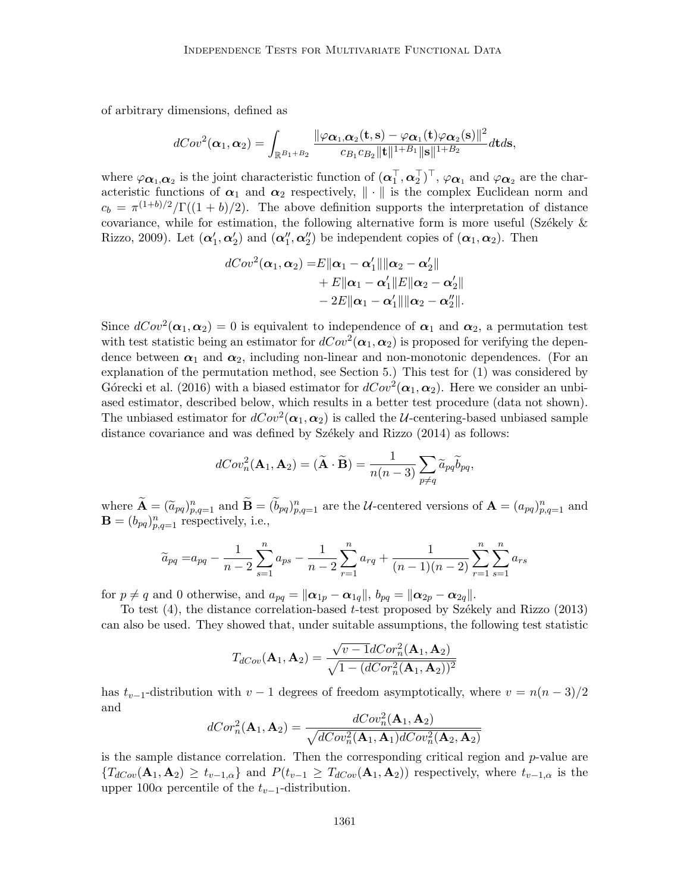of arbitrary dimensions, defined as

$$
dCov^2(\boldsymbol{\alpha}_1,\boldsymbol{\alpha}_2)=\int_{\mathbb{R}^{B_1+B_2}}\frac{\|\varphi\boldsymbol{\alpha}_1,\boldsymbol{\alpha}_2(\mathbf{t},\mathbf{s})-\varphi\boldsymbol{\alpha}_1(\mathbf{t})\varphi\boldsymbol{\alpha}_2(\mathbf{s})\|^2}{c_{B_1}c_{B_2}\|\mathbf{t}\|^{1+B_1}\|\mathbf{s}\|^{1+B_2}}d\mathbf{t}d\mathbf{s},
$$

where  $\varphi_{\alpha_1,\alpha_2}$  is the joint characteristic function of  $(\alpha_1^{\top}, \alpha_2^{\top})^{\top}$ ,  $\varphi_{\alpha_1}$  and  $\varphi_{\alpha_2}$  are the characteristic functions of  $\alpha_1$  and  $\alpha_2$  respectively,  $\|\cdot\|$  is the complex Euclidean norm and  $c_b = \pi^{(1+b)/2}/\Gamma((1+b)/2)$ . The above definition supports the interpretation of distance covariance, while for estimation, the following alternative form is more useful (Székely  $\&$ Rizzo, 2009). Let  $(\alpha'_1, \alpha'_2)$  and  $(\alpha''_1, \alpha''_2)$  be independent copies of  $(\alpha_1, \alpha_2)$ . Then

$$
dCov2(\boldsymbol{\alpha}_1,\boldsymbol{\alpha}_2) = E \|\boldsymbol{\alpha}_1 - \boldsymbol{\alpha}'_1\| \|\boldsymbol{\alpha}_2 - \boldsymbol{\alpha}'_2\|
$$
  
+ E \|\boldsymbol{\alpha}\_1 - \boldsymbol{\alpha}'\_1\| E \|\boldsymbol{\alpha}\_2 - \boldsymbol{\alpha}'\_2\|   
- 2E \|\boldsymbol{\alpha}\_1 - \boldsymbol{\alpha}'\_1\| \|\boldsymbol{\alpha}\_2 - \boldsymbol{\alpha}''\_2\|.

Since  $dCov^2(\boldsymbol{\alpha}_1,\boldsymbol{\alpha}_2)=0$  is equivalent to independence of  $\boldsymbol{\alpha}_1$  and  $\boldsymbol{\alpha}_2$ , a permutation test with test statistic being an estimator for  $dCov^2(\boldsymbol{\alpha}_1,\boldsymbol{\alpha}_2)$  is proposed for verifying the dependence between  $\alpha_1$  and  $\alpha_2$ , including non-linear and non-monotonic dependences. (For an explanation of the permutation method, see Section 5.) This test for (1) was considered by Górecki et al. (2016) with a biased estimator for  $dCov^2(\boldsymbol{\alpha}_1, \boldsymbol{\alpha}_2)$ . Here we consider an unbiased estimator, described below, which results in a better test procedure (data not shown). The unbiased estimator for  $dCov^2(\alpha_1, \alpha_2)$  is called the *U*-centering-based unbiased sample distance covariance and was defined by Székely and Rizzo (2014) as follows:

$$
dCov_n^2(\mathbf{A}_1, \mathbf{A}_2) = (\widetilde{\mathbf{A}} \cdot \widetilde{\mathbf{B}}) = \frac{1}{n(n-3)} \sum_{p \neq q} \widetilde{a}_{pq} \widetilde{b}_{pq},
$$

where  $\widetilde{\mathbf{A}} = (\widetilde{a}_{pq})_{p,q=1}^n$  and  $\widetilde{\mathbf{B}} = (\widetilde{b}_{pq})_{p,q=1}^n$  are the *U*-centered versions of  $\mathbf{A} = (a_{pq})_{p,q=1}^n$  and  $\mathbf{B} = (b_{pq})_{p,q=1}^n$  respectively, i.e.,

$$
\widetilde{a}_{pq} = a_{pq} - \frac{1}{n-2} \sum_{s=1}^{n} a_{ps} - \frac{1}{n-2} \sum_{r=1}^{n} a_{rq} + \frac{1}{(n-1)(n-2)} \sum_{r=1}^{n} \sum_{s=1}^{n} a_{rs}
$$

for  $p \neq q$  and 0 otherwise, and  $a_{pq} = ||\boldsymbol{\alpha}_{1p} - \boldsymbol{\alpha}_{1q}||$ ,  $b_{pq} = ||\boldsymbol{\alpha}_{2p} - \boldsymbol{\alpha}_{2q}||$ .

To test  $(4)$ , the distance correlation-based t-test proposed by Székely and Rizzo  $(2013)$ can also be used. They showed that, under suitable assumptions, the following test statistic

$$
T_{dCov}(\mathbf{A}_1, \mathbf{A}_2) = \frac{\sqrt{v - 1}dCor_n^2(\mathbf{A}_1, \mathbf{A}_2)}{\sqrt{1 - (dCor_n^2(\mathbf{A}_1, \mathbf{A}_2))^2}}
$$

has  $t_{v-1}$ -distribution with  $v-1$  degrees of freedom asymptotically, where  $v = n(n-3)/2$ and

$$
dCor_n^2(\mathbf{A}_1, \mathbf{A}_2) = \frac{dCov_n^2(\mathbf{A}_1, \mathbf{A}_2)}{\sqrt{dCov_n^2(\mathbf{A}_1, \mathbf{A}_1)dCov_n^2(\mathbf{A}_2, \mathbf{A}_2)}}
$$

is the sample distance correlation. Then the corresponding critical region and  $p$ -value are  ${T_{dCov}(\mathbf{A}_1, \mathbf{A}_2) \ge t_{v-1,\alpha}}$  and  $P(t_{v-1} \ge T_{dCov}(\mathbf{A}_1, \mathbf{A}_2))$  respectively, where  $t_{v-1,\alpha}$  is the upper 100 $\alpha$  percentile of the  $t_{v-1}$ -distribution.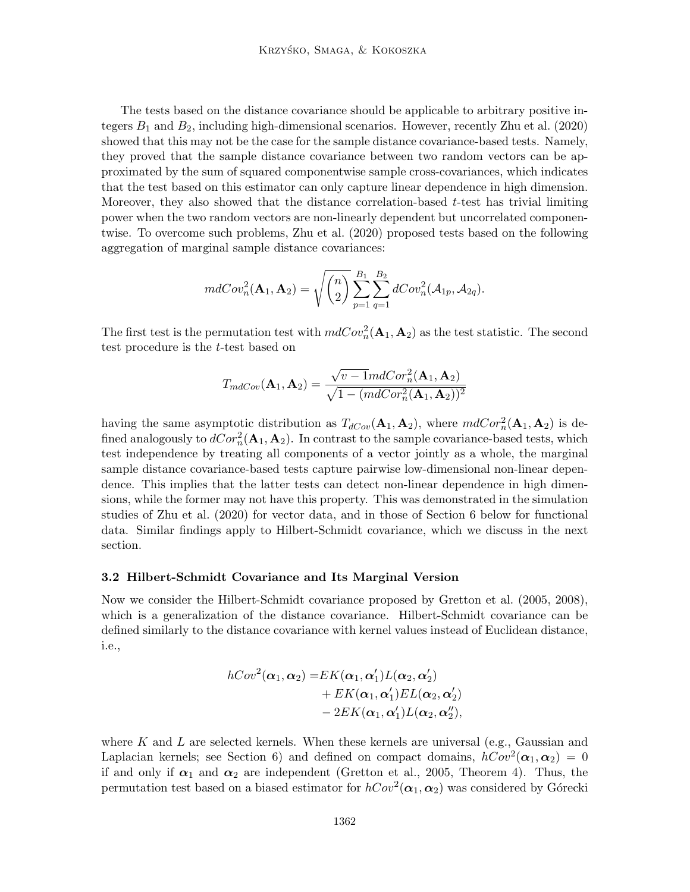The tests based on the distance covariance should be applicable to arbitrary positive integers  $B_1$  and  $B_2$ , including high-dimensional scenarios. However, recently Zhu et al. (2020) showed that this may not be the case for the sample distance covariance-based tests. Namely, they proved that the sample distance covariance between two random vectors can be approximated by the sum of squared componentwise sample cross-covariances, which indicates that the test based on this estimator can only capture linear dependence in high dimension. Moreover, they also showed that the distance correlation-based  $t$ -test has trivial limiting power when the two random vectors are non-linearly dependent but uncorrelated componentwise. To overcome such problems, Zhu et al. (2020) proposed tests based on the following aggregation of marginal sample distance covariances:

$$
mdCov_n^2(\mathbf{A}_1, \mathbf{A}_2) = \sqrt{\binom{n}{2}} \sum_{p=1}^{B_1} \sum_{q=1}^{B_2} dCov_n^2(\mathcal{A}_{1p}, \mathcal{A}_{2q}).
$$

The first test is the permutation test with  $mdCov_n^2(\mathbf{A}_1, \mathbf{A}_2)$  as the test statistic. The second test procedure is the t-test based on

$$
T_{mdCov}(\mathbf{A}_1, \mathbf{A}_2) = \frac{\sqrt{v-1}mdCor_n^2(\mathbf{A}_1, \mathbf{A}_2)}{\sqrt{1-(mdCor_n^2(\mathbf{A}_1, \mathbf{A}_2))^2}}
$$

having the same asymptotic distribution as  $T_{dCov}(\mathbf{A}_1, \mathbf{A}_2)$ , where  $mdCor_n^2(\mathbf{A}_1, \mathbf{A}_2)$  is defined analogously to  $dCor_n^2(\mathbf{A}_1, \mathbf{A}_2)$ . In contrast to the sample covariance-based tests, which test independence by treating all components of a vector jointly as a whole, the marginal sample distance covariance-based tests capture pairwise low-dimensional non-linear dependence. This implies that the latter tests can detect non-linear dependence in high dimensions, while the former may not have this property. This was demonstrated in the simulation studies of Zhu et al. (2020) for vector data, and in those of Section 6 below for functional data. Similar findings apply to Hilbert-Schmidt covariance, which we discuss in the next section.

#### 3.2 Hilbert-Schmidt Covariance and Its Marginal Version

Now we consider the Hilbert-Schmidt covariance proposed by Gretton et al. (2005, 2008), which is a generalization of the distance covariance. Hilbert-Schmidt covariance can be defined similarly to the distance covariance with kernel values instead of Euclidean distance, i.e.,

$$
hCov2(\boldsymbol{\alpha}_1, \boldsymbol{\alpha}_2) = EK(\boldsymbol{\alpha}_1, \boldsymbol{\alpha}'_1)L(\boldsymbol{\alpha}_2, \boldsymbol{\alpha}'_2) + EK(\boldsymbol{\alpha}_1, \boldsymbol{\alpha}'_1)EL(\boldsymbol{\alpha}_2, \boldsymbol{\alpha}'_2) - 2EK(\boldsymbol{\alpha}_1, \boldsymbol{\alpha}'_1)L(\boldsymbol{\alpha}_2, \boldsymbol{\alpha}''_2),
$$

where K and L are selected kernels. When these kernels are universal (e.g., Gaussian and Laplacian kernels; see Section 6) and defined on compact domains,  $hCov^2(\alpha_1, \alpha_2) = 0$ if and only if  $\alpha_1$  and  $\alpha_2$  are independent (Gretton et al., 2005, Theorem 4). Thus, the permutation test based on a biased estimator for  $hCov^2(\boldsymbol{\alpha}_1,\boldsymbol{\alpha}_2)$  was considered by Górecki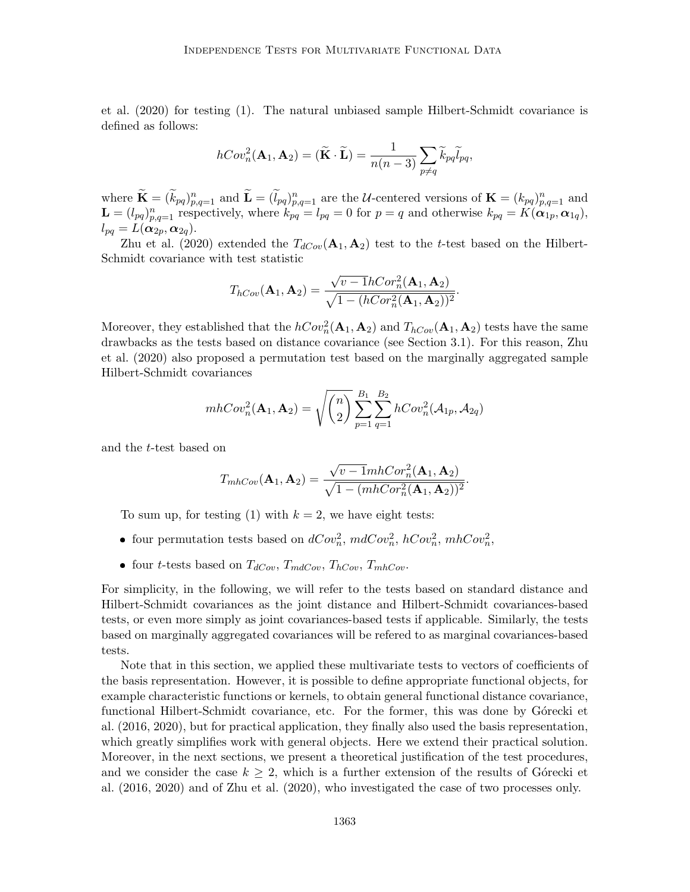et al. (2020) for testing (1). The natural unbiased sample Hilbert-Schmidt covariance is defined as follows:

$$
hCov_n^2(\mathbf{A}_1, \mathbf{A}_2) = (\widetilde{\mathbf{K}} \cdot \widetilde{\mathbf{L}}) = \frac{1}{n(n-3)} \sum_{p \neq q} \widetilde{k}_{pq} \widetilde{l}_{pq},
$$

where  $\widetilde{\mathbf{K}} = (\widetilde{k}_{pq})_{p,q=1}^n$  and  $\widetilde{\mathbf{L}} = (\widetilde{l}_{pq})_{p,q=1}^n$  are the U-centered versions of  $\mathbf{K} = (k_{pq})_{p,q=1}^n$  and  $\mathbf{L} = (l_{pq})_{p,q=1}^n$  respectively, where  $k_{pq} = l_{pq} = 0$  for  $p = q$  and otherwise  $k_{pq} = K(\alpha_{1p}, \alpha_{1q}),$  $l_{pq}=L(\boldsymbol{\alpha}_{2p},\boldsymbol{\alpha}_{2q}).$ 

Zhu et al. (2020) extended the  $T_{dCov}(\mathbf{A}_1, \mathbf{A}_2)$  test to the t-test based on the Hilbert-Schmidt covariance with test statistic

$$
T_{hCov}(\mathbf{A}_1, \mathbf{A}_2) = \frac{\sqrt{v - 1}hCor_n^2(\mathbf{A}_1, \mathbf{A}_2)}{\sqrt{1 - (hCor_n^2(\mathbf{A}_1, \mathbf{A}_2))^2}}.
$$

Moreover, they established that the  $hCov_n^2(\mathbf{A}_1, \mathbf{A}_2)$  and  $T_{hCov}(\mathbf{A}_1, \mathbf{A}_2)$  tests have the same drawbacks as the tests based on distance covariance (see Section 3.1). For this reason, Zhu et al. (2020) also proposed a permutation test based on the marginally aggregated sample Hilbert-Schmidt covariances

$$
mhCov_n^2(\mathbf{A}_1, \mathbf{A}_2) = \sqrt{\binom{n}{2}} \sum_{p=1}^{B_1} \sum_{q=1}^{B_2} hCov_n^2(\mathcal{A}_{1p}, \mathcal{A}_{2q})
$$

and the t-test based on

$$
T_{mhCov}(\mathbf{A}_1, \mathbf{A}_2) = \frac{\sqrt{v-1}mhCor_n^2(\mathbf{A}_1, \mathbf{A}_2)}{\sqrt{1-(mhCor_n^2(\mathbf{A}_1, \mathbf{A}_2))^2}}.
$$

To sum up, for testing (1) with  $k = 2$ , we have eight tests:

- four permutation tests based on  $dCov_n^2$ ,  $mdCov_n^2$ ,  $hCov_n^2$ ,  $mhCov_n^2$ ,
- four t-tests based on  $T_{dCov}$ ,  $T_{mdCov}$ ,  $T_{hCov}$ ,  $T_{mhCov}$ .

For simplicity, in the following, we will refer to the tests based on standard distance and Hilbert-Schmidt covariances as the joint distance and Hilbert-Schmidt covariances-based tests, or even more simply as joint covariances-based tests if applicable. Similarly, the tests based on marginally aggregated covariances will be refered to as marginal covariances-based tests.

Note that in this section, we applied these multivariate tests to vectors of coefficients of the basis representation. However, it is possible to define appropriate functional objects, for example characteristic functions or kernels, to obtain general functional distance covariance, functional Hilbert-Schmidt covariance, etc. For the former, this was done by Górecki et al. (2016, 2020), but for practical application, they finally also used the basis representation, which greatly simplifies work with general objects. Here we extend their practical solution. Moreover, in the next sections, we present a theoretical justification of the test procedures, and we consider the case  $k \geq 2$ , which is a further extension of the results of G $\acute{o}$ recki et al. (2016, 2020) and of Zhu et al. (2020), who investigated the case of two processes only.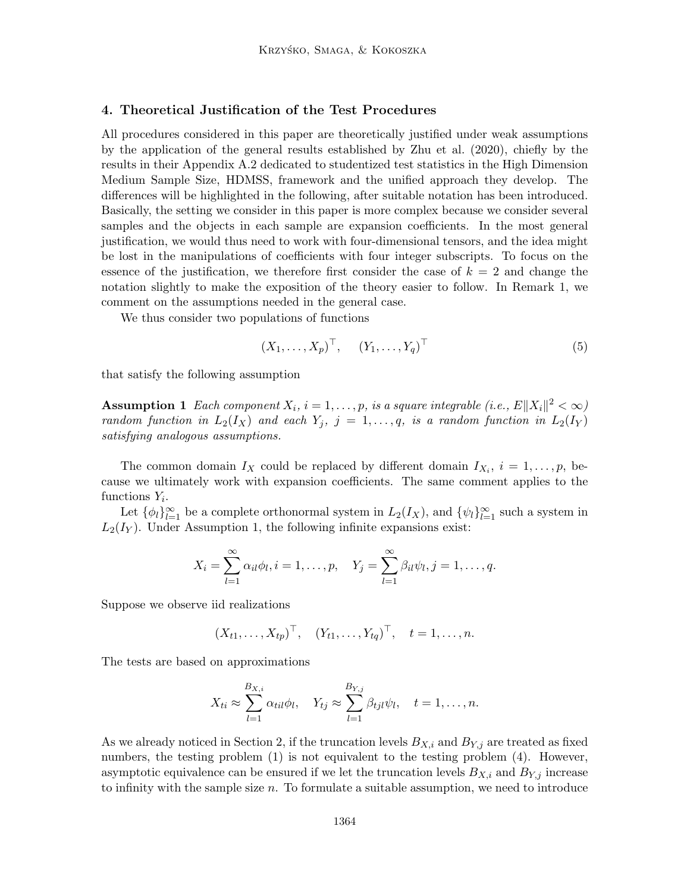# 4. Theoretical Justification of the Test Procedures

All procedures considered in this paper are theoretically justified under weak assumptions by the application of the general results established by Zhu et al. (2020), chiefly by the results in their Appendix A.2 dedicated to studentized test statistics in the High Dimension Medium Sample Size, HDMSS, framework and the unified approach they develop. The differences will be highlighted in the following, after suitable notation has been introduced. Basically, the setting we consider in this paper is more complex because we consider several samples and the objects in each sample are expansion coefficients. In the most general justification, we would thus need to work with four-dimensional tensors, and the idea might be lost in the manipulations of coefficients with four integer subscripts. To focus on the essence of the justification, we therefore first consider the case of  $k = 2$  and change the notation slightly to make the exposition of the theory easier to follow. In Remark 1, we comment on the assumptions needed in the general case.

We thus consider two populations of functions

$$
(X_1, \ldots, X_p)^\top, \quad (Y_1, \ldots, Y_q)^\top
$$
\n
$$
(5)
$$

that satisfy the following assumption

**Assumption 1** Each component  $X_i$ ,  $i = 1, \ldots, p$ , is a square integrable (i.e.,  $E||X_i||^2 < \infty$ ) random function in  $L_2(I_X)$  and each  $Y_j$ ,  $j = 1, \ldots, q$ , is a random function in  $L_2(I_Y)$ satisfying analogous assumptions.

The common domain  $I_X$  could be replaced by different domain  $I_{X_i}$ ,  $i = 1, \ldots, p$ , because we ultimately work with expansion coefficients. The same comment applies to the functions  $Y_i$ .

Let  $\{\phi_l\}_{l=1}^{\infty}$  be a complete orthonormal system in  $L_2(I_X)$ , and  $\{\psi_l\}_{l=1}^{\infty}$  such a system in  $L_2(I_Y)$ . Under Assumption 1, the following infinite expansions exist:

$$
X_i = \sum_{l=1}^{\infty} \alpha_{il} \phi_l, i = 1, \dots, p, \quad Y_j = \sum_{l=1}^{\infty} \beta_{il} \psi_l, j = 1, \dots, q.
$$

Suppose we observe iid realizations

$$
(X_{t1},...,X_{tp})^{\top}
$$
,  $(Y_{t1},...,Y_{tq})^{\top}$ ,  $t = 1,...,n$ .

The tests are based on approximations

$$
X_{ti} \approx \sum_{l=1}^{B_{X,i}} \alpha_{til} \phi_l, \quad Y_{tj} \approx \sum_{l=1}^{B_{Y,j}} \beta_{tjl} \psi_l, \quad t = 1, \dots, n.
$$

As we already noticed in Section 2, if the truncation levels  $B_{X,i}$  and  $B_{Y,j}$  are treated as fixed numbers, the testing problem (1) is not equivalent to the testing problem (4). However, asymptotic equivalence can be ensured if we let the truncation levels  $B_{X,i}$  and  $B_{Y,i}$  increase to infinity with the sample size  $n$ . To formulate a suitable assumption, we need to introduce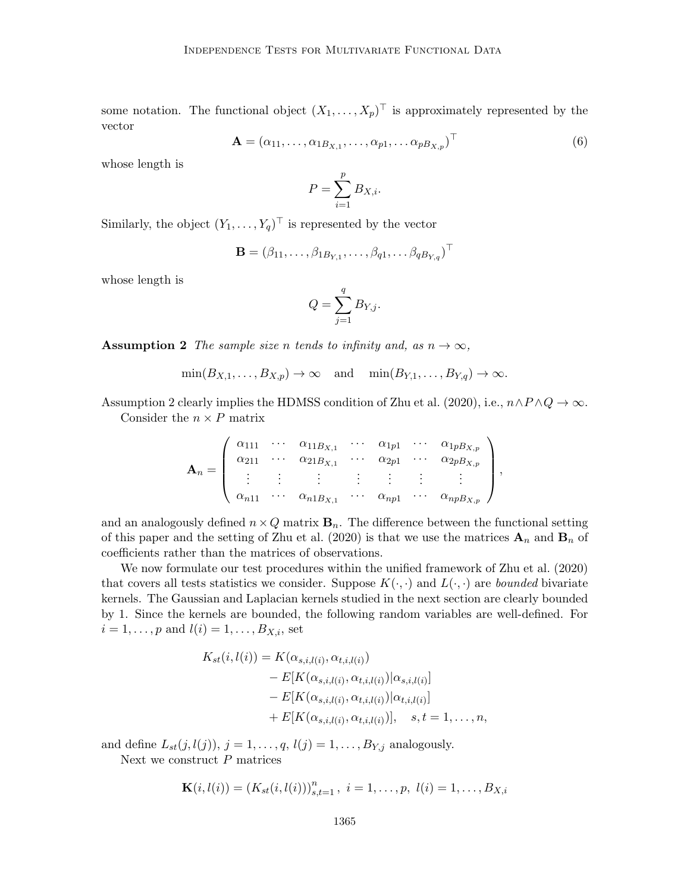some notation. The functional object  $(X_1, \ldots, X_p)^\top$  is approximately represented by the vector

$$
\mathbf{A} = (\alpha_{11}, \dots, \alpha_{1B_{X,1}}, \dots, \alpha_{p1}, \dots \alpha_{pB_{X,p}})^{\top}
$$
(6)

whose length is

$$
P = \sum_{i=1}^{p} B_{X,i}.
$$

Similarly, the object  $(Y_1, \ldots, Y_q)^\top$  is represented by the vector

$$
\mathbf{B} = (\beta_{11}, \dots, \beta_{1B_{Y,1}}, \dots, \beta_{q1}, \dots \beta_{qB_{Y,q}})^{\top}
$$

whose length is

$$
Q = \sum_{j=1}^{q} B_{Y,j}.
$$

**Assumption 2** The sample size n tends to infinity and, as  $n \to \infty$ ,

 $\min(B_{X,1}, \ldots, B_{X,p}) \to \infty$  and  $\min(B_{Y,1}, \ldots, B_{Y,q}) \to \infty$ .

Assumption 2 clearly implies the HDMSS condition of Zhu et al. (2020), i.e.,  $n \wedge P \wedge Q \rightarrow \infty$ . Consider the  $n \times P$  matrix

$$
\mathbf{A}_n = \left( \begin{array}{cccc} \alpha_{111} & \cdots & \alpha_{11B_{X,1}} & \cdots & \alpha_{1p1} & \cdots & \alpha_{1pB_{X,p}} \\ \alpha_{211} & \cdots & \alpha_{21B_{X,1}} & \cdots & \alpha_{2p1} & \cdots & \alpha_{2pB_{X,p}} \\ \vdots & \vdots & \vdots & \vdots & \vdots & \vdots & \vdots \\ \alpha_{n11} & \cdots & \alpha_{n1B_{X,1}} & \cdots & \alpha_{np1} & \cdots & \alpha_{npB_{X,p}} \end{array} \right),
$$

and an analogously defined  $n \times Q$  matrix  $\mathbf{B}_n$ . The difference between the functional setting of this paper and the setting of Zhu et al. (2020) is that we use the matrices  $\mathbf{A}_n$  and  $\mathbf{B}_n$  of coefficients rather than the matrices of observations.

We now formulate our test procedures within the unified framework of Zhu et al. (2020) that covers all tests statistics we consider. Suppose  $K(\cdot, \cdot)$  and  $L(\cdot, \cdot)$  are bounded bivariate kernels. The Gaussian and Laplacian kernels studied in the next section are clearly bounded by 1. Since the kernels are bounded, the following random variables are well-defined. For  $i = 1, \ldots, p$  and  $l(i) = 1, \ldots, B_{X,i}$ , set

$$
K_{st}(i, l(i)) = K(\alpha_{s,i,l(i)}, \alpha_{t,i,l(i)})
$$
  
\n
$$
- E[K(\alpha_{s,i,l(i)}, \alpha_{t,i,l(i)}) | \alpha_{s,i,l(i)}]
$$
  
\n
$$
- E[K(\alpha_{s,i,l(i)}, \alpha_{t,i,l(i)}) | \alpha_{t,i,l(i)}]
$$
  
\n
$$
+ E[K(\alpha_{s,i,l(i)}, \alpha_{t,i,l(i)})], \quad s, t = 1, ..., n,
$$

and define  $L_{st}(j, l(j)), j = 1, ..., q, l(j) = 1, ..., B_{Y,j}$  analogously.

Next we construct P matrices

$$
\mathbf{K}(i,l(i)) = (K_{st}(i,l(i)))_{s,t=1}^n, i = 1,\ldots,p, l(i) = 1,\ldots,B_{X,i}
$$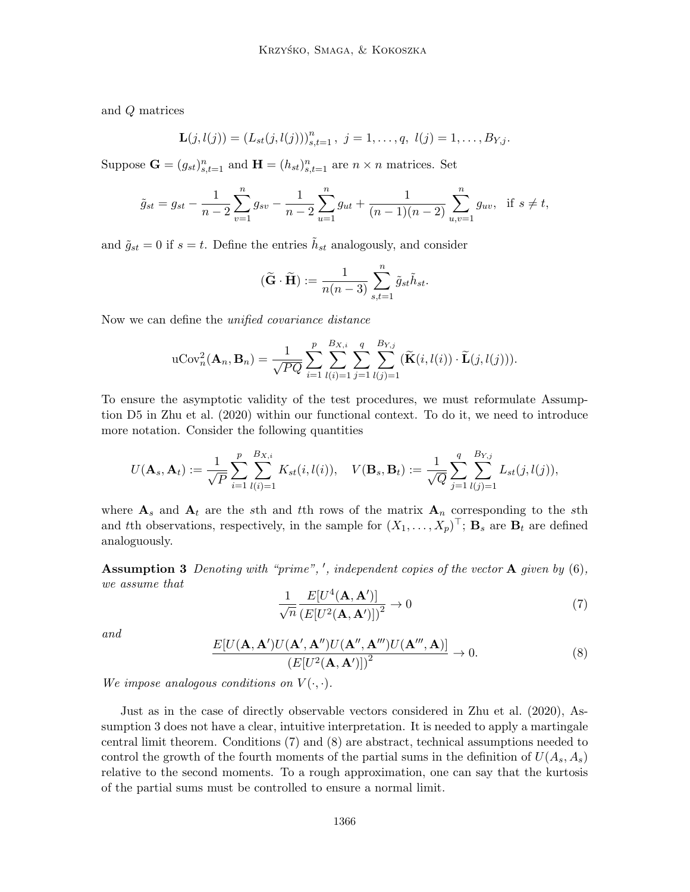and Q matrices

$$
\mathbf{L}(j,l(j)) = (L_{st}(j,l(j)))_{s,t=1}^n, \ j = 1,\ldots,q, \ l(j) = 1,\ldots,B_{Y,j}.
$$

Suppose  $\mathbf{G} = (g_{st})_{s,t=1}^n$  and  $\mathbf{H} = (h_{st})_{s,t=1}^n$  are  $n \times n$  matrices. Set

$$
\tilde{g}_{st} = g_{st} - \frac{1}{n-2} \sum_{v=1}^{n} g_{sv} - \frac{1}{n-2} \sum_{u=1}^{n} g_{ut} + \frac{1}{(n-1)(n-2)} \sum_{u,v=1}^{n} g_{uv}, \text{ if } s \neq t,
$$

and  $\tilde{g}_{st} = 0$  if  $s = t$ . Define the entries  $\tilde{h}_{st}$  analogously, and consider

$$
(\widetilde{\mathbf{G}}\cdot \widetilde{\mathbf{H}}):=\frac{1}{n(n-3)}\sum_{s,t=1}^n \widetilde{g}_{st}\widetilde{h}_{st}.
$$

Now we can define the unified covariance distance

$$
\mathrm{uCov}_n^2(\mathbf{A}_n, \mathbf{B}_n) = \frac{1}{\sqrt{PQ}} \sum_{i=1}^p \sum_{l(i)=1}^{B_{X,i}} \sum_{j=1}^q \sum_{l(j)=1}^{B_{Y,j}} (\widetilde{\mathbf{K}}(i, l(i)) \cdot \widetilde{\mathbf{L}}(j, l(j))).
$$

To ensure the asymptotic validity of the test procedures, we must reformulate Assumption D5 in Zhu et al. (2020) within our functional context. To do it, we need to introduce more notation. Consider the following quantities

$$
U(\mathbf{A}_s, \mathbf{A}_t) := \frac{1}{\sqrt{P}} \sum_{i=1}^p \sum_{l(i)=1}^{B_{X,i}} K_{st}(i, l(i)), \quad V(\mathbf{B}_s, \mathbf{B}_t) := \frac{1}{\sqrt{Q}} \sum_{j=1}^q \sum_{l(j)=1}^{B_{Y,j}} L_{st}(j, l(j)),
$$

where  $A_s$  and  $A_t$  are the sth and tth rows of the matrix  $A_n$  corresponding to the sth and tth observations, respectively, in the sample for  $(X_1, \ldots, X_p)^\top$ ;  $\mathbf{B}_s$  are  $\mathbf{B}_t$  are defined analoguously.

**Assumption 3** Denoting with "prime", ', independent copies of the vector  $\bf{A}$  given by (6), we assume that

$$
\frac{1}{\sqrt{n}} \frac{E[U^4(\mathbf{A}, \mathbf{A}')]}{\left(E[U^2(\mathbf{A}, \mathbf{A}')] \right)^2} \to 0 \tag{7}
$$

and

$$
\frac{E[U(\mathbf{A}, \mathbf{A}')U(\mathbf{A}', \mathbf{A}'')U(\mathbf{A}'', \mathbf{A}''')U(\mathbf{A}''', \mathbf{A})]}{(E[U^2(\mathbf{A}, \mathbf{A}')] )^2} \to 0.
$$
\n(8)

We impose analogous conditions on  $V(\cdot, \cdot)$ .

Just as in the case of directly observable vectors considered in Zhu et al. (2020), Assumption 3 does not have a clear, intuitive interpretation. It is needed to apply a martingale central limit theorem. Conditions (7) and (8) are abstract, technical assumptions needed to control the growth of the fourth moments of the partial sums in the definition of  $U(A_s, A_s)$ relative to the second moments. To a rough approximation, one can say that the kurtosis of the partial sums must be controlled to ensure a normal limit.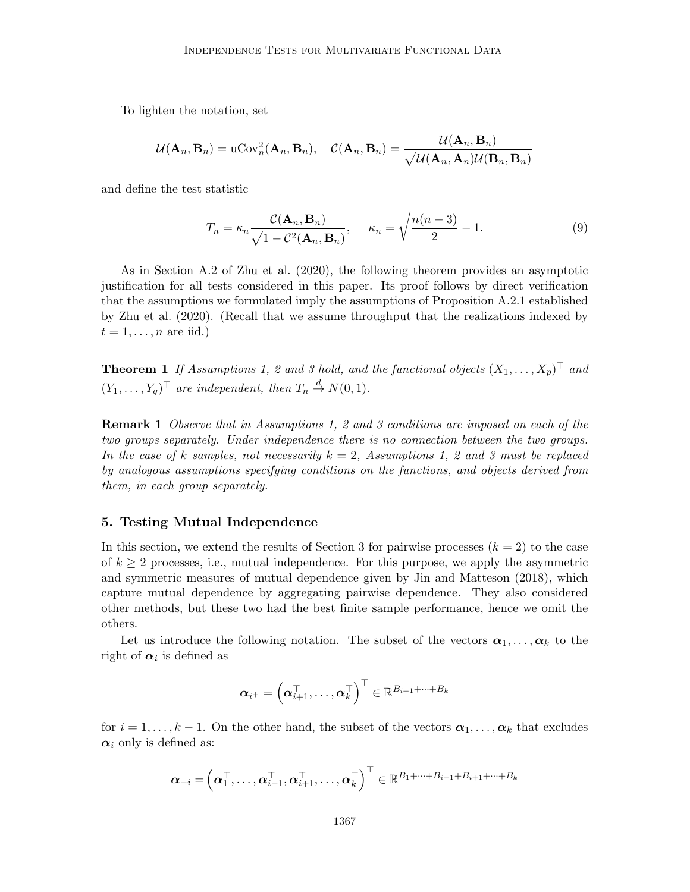To lighten the notation, set

$$
\mathcal{U}(\mathbf{A}_n, \mathbf{B}_n) = \mathrm{uCov}_n^2(\mathbf{A}_n, \mathbf{B}_n), \quad \mathcal{C}(\mathbf{A}_n, \mathbf{B}_n) = \frac{\mathcal{U}(\mathbf{A}_n, \mathbf{B}_n)}{\sqrt{\mathcal{U}(\mathbf{A}_n, \mathbf{A}_n)\mathcal{U}(\mathbf{B}_n, \mathbf{B}_n)}}
$$

and define the test statistic

$$
T_n = \kappa_n \frac{\mathcal{C}(\mathbf{A}_n, \mathbf{B}_n)}{\sqrt{1 - \mathcal{C}^2(\mathbf{A}_n, \mathbf{B}_n)}}, \quad \kappa_n = \sqrt{\frac{n(n-3)}{2} - 1}.
$$
 (9)

As in Section A.2 of Zhu et al. (2020), the following theorem provides an asymptotic justification for all tests considered in this paper. Its proof follows by direct verification that the assumptions we formulated imply the assumptions of Proposition A.2.1 established by Zhu et al. (2020). (Recall that we assume throughput that the realizations indexed by  $t = 1, \ldots, n$  are iid.)

**Theorem 1** If Assumptions 1, 2 and 3 hold, and the functional objects  $(X_1, \ldots, X_p)^\top$  and  $(Y_1, \ldots, Y_q)^\top$  are independent, then  $T_n \stackrel{d}{\rightarrow} N(0, 1)$ .

**Remark 1** Observe that in Assumptions 1, 2 and 3 conditions are imposed on each of the two groups separately. Under independence there is no connection between the two groups. In the case of k samples, not necessarily  $k = 2$ , Assumptions 1, 2 and 3 must be replaced by analogous assumptions specifying conditions on the functions, and objects derived from them, in each group separately.

#### 5. Testing Mutual Independence

In this section, we extend the results of Section 3 for pairwise processes  $(k = 2)$  to the case of  $k \geq 2$  processes, i.e., mutual independence. For this purpose, we apply the asymmetric and symmetric measures of mutual dependence given by Jin and Matteson (2018), which capture mutual dependence by aggregating pairwise dependence. They also considered other methods, but these two had the best finite sample performance, hence we omit the others.

Let us introduce the following notation. The subset of the vectors  $\alpha_1, \ldots, \alpha_k$  to the right of  $\alpha_i$  is defined as

$$
\boldsymbol{\alpha}_{i^+} = \left(\boldsymbol{\alpha}_{i+1}^{\top}, \ldots, \boldsymbol{\alpha}_{k}^{\top}\right)^{\top} \in \mathbb{R}^{B_{i+1} + \cdots + B_{k}}
$$

for  $i = 1, \ldots, k - 1$ . On the other hand, the subset of the vectors  $\alpha_1, \ldots, \alpha_k$  that excludes  $\alpha_i$  only is defined as:

$$
\boldsymbol{\alpha}_{-i} = \left(\boldsymbol{\alpha}_1^\top,\ldots,\boldsymbol{\alpha}_{i-1}^\top,\boldsymbol{\alpha}_{i+1}^\top,\ldots,\boldsymbol{\alpha}_k^\top\right)^\top \in \mathbb{R}^{B_1 + \cdots + B_{i-1} + B_{i+1} + \cdots + B_k}
$$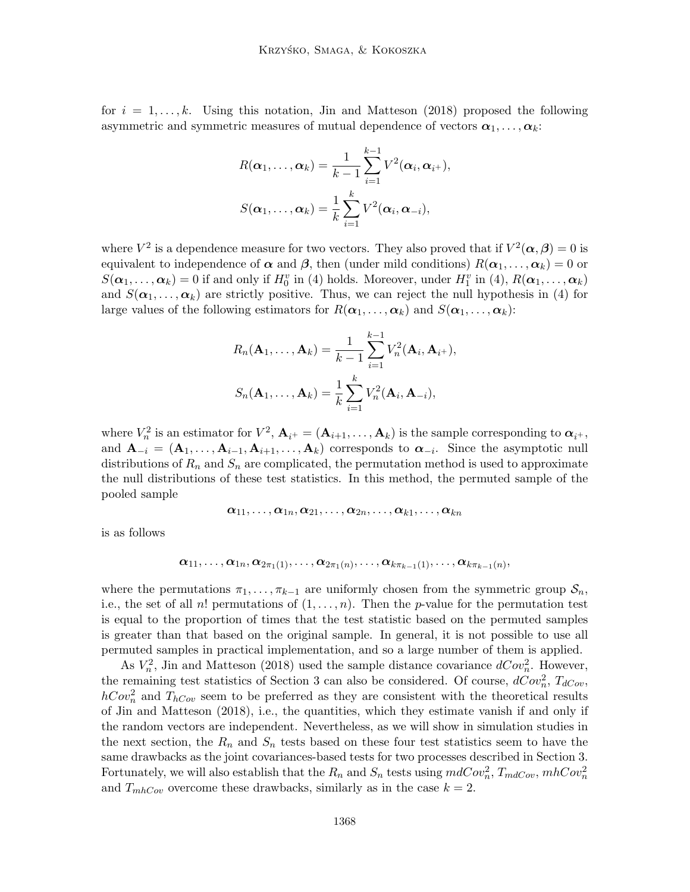for  $i = 1, \ldots, k$ . Using this notation, Jin and Matteson (2018) proposed the following asymmetric and symmetric measures of mutual dependence of vectors  $\alpha_1, \ldots, \alpha_k$ :

$$
R(\boldsymbol{\alpha}_1,\ldots,\boldsymbol{\alpha}_k) = \frac{1}{k-1} \sum_{i=1}^{k-1} V^2(\boldsymbol{\alpha}_i,\boldsymbol{\alpha}_{i+}),
$$
  

$$
S(\boldsymbol{\alpha}_1,\ldots,\boldsymbol{\alpha}_k) = \frac{1}{k} \sum_{i=1}^{k} V^2(\boldsymbol{\alpha}_i,\boldsymbol{\alpha}_{-i}),
$$

where  $V^2$  is a dependence measure for two vectors. They also proved that if  $V^2(\alpha,\beta) = 0$  is equivalent to independence of  $\alpha$  and  $\beta$ , then (under mild conditions)  $R(\alpha_1, \ldots, \alpha_k) = 0$  or  $S(\boldsymbol{\alpha}_1,\ldots,\boldsymbol{\alpha}_k)=0$  if and only if  $H_0^v$  in (4) holds. Moreover, under  $H_1^v$  in (4),  $R(\boldsymbol{\alpha}_1,\ldots,\boldsymbol{\alpha}_k)$ and  $S(\alpha_1, \ldots, \alpha_k)$  are strictly positive. Thus, we can reject the null hypothesis in (4) for large values of the following estimators for  $R(\boldsymbol{\alpha}_1, \ldots, \boldsymbol{\alpha}_k)$  and  $S(\boldsymbol{\alpha}_1, \ldots, \boldsymbol{\alpha}_k)$ :

$$
R_n(\mathbf{A}_1, ..., \mathbf{A}_k) = \frac{1}{k-1} \sum_{i=1}^{k-1} V_n^2(\mathbf{A}_i, \mathbf{A}_{i+}),
$$
  

$$
S_n(\mathbf{A}_1, ..., \mathbf{A}_k) = \frac{1}{k} \sum_{i=1}^{k} V_n^2(\mathbf{A}_i, \mathbf{A}_{-i}),
$$

where  $V_n^2$  is an estimator for  $V^2$ ,  $\mathbf{A}_{i^+} = (\mathbf{A}_{i+1}, \dots, \mathbf{A}_k)$  is the sample corresponding to  $\boldsymbol{\alpha}_{i^+}$ , and  $\mathbf{A}_{-i} = (\mathbf{A}_1, \ldots, \mathbf{A}_{i-1}, \mathbf{A}_{i+1}, \ldots, \mathbf{A}_k)$  corresponds to  $\boldsymbol{\alpha}_{-i}$ . Since the asymptotic null distributions of  $R_n$  and  $S_n$  are complicated, the permutation method is used to approximate the null distributions of these test statistics. In this method, the permuted sample of the pooled sample

$$
\pmb{\alpha}_{11},\dots,\pmb{\alpha}_{1n},\pmb{\alpha}_{21},\dots,\pmb{\alpha}_{2n},\dots,\pmb{\alpha}_{k1},\dots,\pmb{\alpha}_{kn}
$$

is as follows

$$
\boldsymbol{\alpha}_{11},\ldots,\boldsymbol{\alpha}_{1n},\boldsymbol{\alpha}_{2\pi_1(1)},\ldots,\boldsymbol{\alpha}_{2\pi_1(n)},\ldots,\boldsymbol{\alpha}_{k\pi_{k-1}(1)},\ldots,\boldsymbol{\alpha}_{k\pi_{k-1}(n)},
$$

where the permutations  $\pi_1, \ldots, \pi_{k-1}$  are uniformly chosen from the symmetric group  $\mathcal{S}_n$ , i.e., the set of all n! permutations of  $(1, \ldots, n)$ . Then the p-value for the permutation test is equal to the proportion of times that the test statistic based on the permuted samples is greater than that based on the original sample. In general, it is not possible to use all permuted samples in practical implementation, and so a large number of them is applied.

As  $V_n^2$ , Jin and Matteson (2018) used the sample distance covariance  $dCov_n^2$ . However, the remaining test statistics of Section 3 can also be considered. Of course,  $dCov_n^2$ ,  $T_{dCov}$ ,  $hCov_n^2$  and  $T_{hCov}$  seem to be preferred as they are consistent with the theoretical results of Jin and Matteson (2018), i.e., the quantities, which they estimate vanish if and only if the random vectors are independent. Nevertheless, as we will show in simulation studies in the next section, the  $R_n$  and  $S_n$  tests based on these four test statistics seem to have the same drawbacks as the joint covariances-based tests for two processes described in Section 3. Fortunately, we will also establish that the  $R_n$  and  $S_n$  tests using  $mdCov_n^2$ ,  $T_{mdCov}$ ,  $mhCov_n^2$ and  $T_{mhCov}$  overcome these drawbacks, similarly as in the case  $k = 2$ .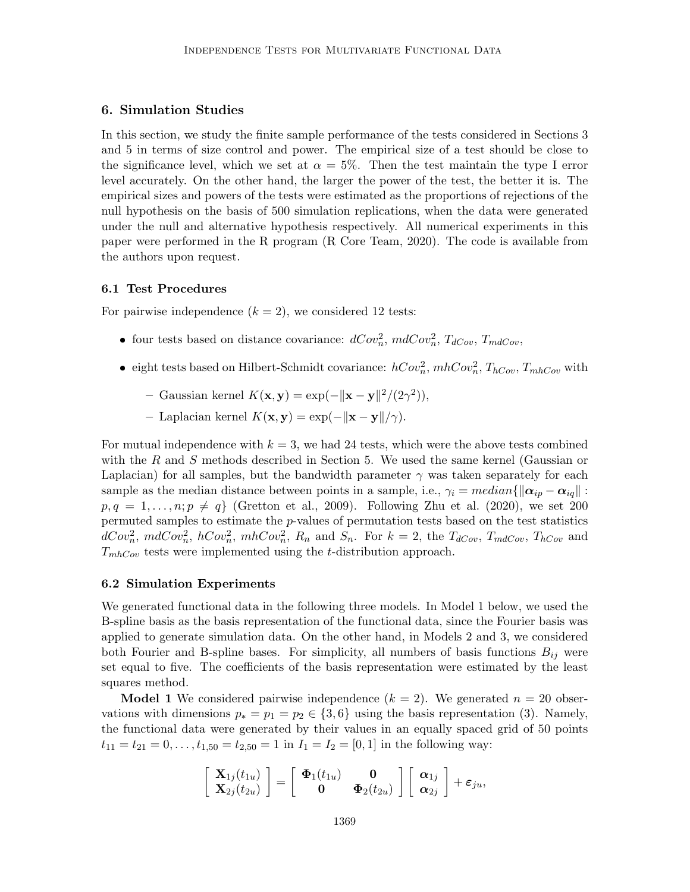# 6. Simulation Studies

In this section, we study the finite sample performance of the tests considered in Sections 3 and 5 in terms of size control and power. The empirical size of a test should be close to the significance level, which we set at  $\alpha = 5\%$ . Then the test maintain the type I error level accurately. On the other hand, the larger the power of the test, the better it is. The empirical sizes and powers of the tests were estimated as the proportions of rejections of the null hypothesis on the basis of 500 simulation replications, when the data were generated under the null and alternative hypothesis respectively. All numerical experiments in this paper were performed in the R program (R Core Team, 2020). The code is available from the authors upon request.

#### 6.1 Test Procedures

For pairwise independence  $(k = 2)$ , we considered 12 tests:

- four tests based on distance covariance:  $dCov_n^2$ ,  $mdCov_n^2$ ,  $T_{dCov}$ ,  $T_{mdCov}$ ,
- eight tests based on Hilbert-Schmidt covariance:  $hCov_n^2$ ,  $mhCov_n^2$ ,  $T_{hCov}$ ,  $T_{mhCov}$  with
	- Gaussian kernel  $K(\mathbf{x}, \mathbf{y}) = \exp(-\|\mathbf{x} \mathbf{y}\|^2/(2\gamma^2)),$
	- Laplacian kernel  $K(\mathbf{x}, \mathbf{y}) = \exp(-\|\mathbf{x} \mathbf{y}\| / \gamma).$

For mutual independence with  $k = 3$ , we had 24 tests, which were the above tests combined with the R and S methods described in Section 5. We used the same kernel (Gaussian or Laplacian) for all samples, but the bandwidth parameter  $\gamma$  was taken separately for each sample as the median distance between points in a sample, i.e.,  $\gamma_i = median\{\|\alpha_{ip} - \alpha_{iq}\|$ :  $p, q = 1, \ldots, n; p \neq q$  (Gretton et al., 2009). Following Zhu et al. (2020), we set 200 permuted samples to estimate the p-values of permutation tests based on the test statistics  $dCov_n^2$ ,  $mdCov_n^2$ ,  $hCov_n^2$ ,  $mhCov_n^2$ ,  $R_n$  and  $S_n$ . For  $k = 2$ , the  $T_{dCov}$ ,  $T_{mdCov}$ ,  $T_{hCov}$  and  $T_{mhCov}$  tests were implemented using the t-distribution approach.

# 6.2 Simulation Experiments

We generated functional data in the following three models. In Model 1 below, we used the B-spline basis as the basis representation of the functional data, since the Fourier basis was applied to generate simulation data. On the other hand, in Models 2 and 3, we considered both Fourier and B-spline bases. For simplicity, all numbers of basis functions  $B_{ij}$  were set equal to five. The coefficients of the basis representation were estimated by the least squares method.

**Model 1** We considered pairwise independence  $(k = 2)$ . We generated  $n = 20$  observations with dimensions  $p_* = p_1 = p_2 \in \{3, 6\}$  using the basis representation (3). Namely, the functional data were generated by their values in an equally spaced grid of 50 points  $t_{11} = t_{21} = 0, \ldots, t_{1,50} = t_{2,50} = 1$  in  $I_1 = I_2 = [0, 1]$  in the following way:

$$
\left[\begin{array}{c} \mathbf{X}_{1j}(t_{1u}) \\ \mathbf{X}_{2j}(t_{2u}) \end{array}\right] = \left[\begin{array}{cc} \mathbf{\Phi}_1(t_{1u}) & \mathbf{0} \\ \mathbf{0} & \mathbf{\Phi}_2(t_{2u}) \end{array}\right] \left[\begin{array}{c} \boldsymbol{\alpha}_{1j} \\ \boldsymbol{\alpha}_{2j} \end{array}\right] + \boldsymbol{\varepsilon}_{ju},
$$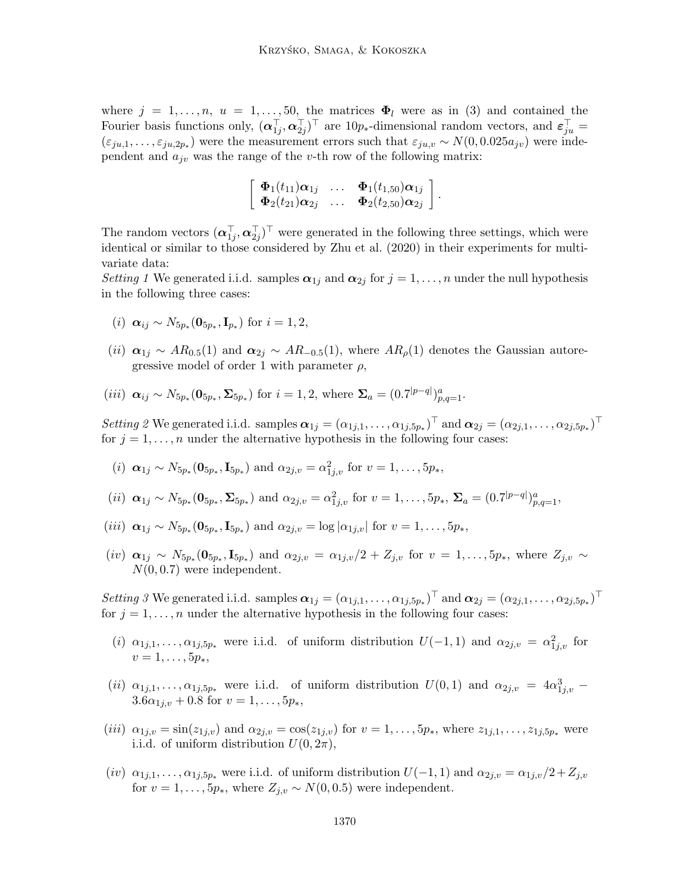where  $j = 1, \ldots, n$ ,  $u = 1, \ldots, 50$ , the matrices  $\Phi_l$  were as in (3) and contained the Fourier basis functions only,  $(\boldsymbol{\alpha}_{1j}^{\top},\boldsymbol{\alpha}_{2j}^{\top})^{\top}$  are 10p<sub>\*</sub>-dimensional random vectors, and  $\boldsymbol{\varepsilon}_{ju}^{\top} =$  $(\varepsilon_{ju,1},\ldots,\varepsilon_{ju,2p_*})$  were the measurement errors such that  $\varepsilon_{ju,v} \sim N(0,0.025a_{jv})$  were independent and  $a_{j\nu}$  was the range of the v-th row of the following matrix:

$$
\left[\begin{array}{cccc} \boldsymbol{\Phi}_{1}(t_{11})\boldsymbol{\alpha}_{1j} & \ldots & \boldsymbol{\Phi}_{1}(t_{1,50})\boldsymbol{\alpha}_{1j} \\ \boldsymbol{\Phi}_{2}(t_{21})\boldsymbol{\alpha}_{2j} & \ldots & \boldsymbol{\Phi}_{2}(t_{2,50})\boldsymbol{\alpha}_{2j} \end{array}\right].
$$

The random vectors  $(\boldsymbol{\alpha}_{1j}^{\top}, \boldsymbol{\alpha}_{2j}^{\top})^{\top}$  were generated in the following three settings, which were identical or similar to those considered by Zhu et al. (2020) in their experiments for multivariate data:

Setting 1 We generated i.i.d. samples  $\alpha_{1j}$  and  $\alpha_{2j}$  for  $j = 1, \ldots, n$  under the null hypothesis in the following three cases:

- (*i*)  $\alpha_{ij} \sim N_{5p_*}(\mathbf{0}_{5p_*}, \mathbf{I}_{p_*})$  for  $i = 1, 2$ ,
- (ii)  $\alpha_{1j} \sim AR_{0.5}(1)$  and  $\alpha_{2j} \sim AR_{-0.5}(1)$ , where  $AR_{\rho}(1)$  denotes the Gaussian autoregressive model of order 1 with parameter  $\rho$ ,

(*iii*) 
$$
\alpha_{ij} \sim N_{5p_*}(\mathbf{0}_{5p_*}, \Sigma_{5p_*})
$$
 for  $i = 1, 2$ , where  $\Sigma_a = (0.7|p-q|)_{p,q=1}^a$ .

Setting 2 We generated i.i.d. samples  $\boldsymbol{\alpha}_{1j} = (\alpha_{1j,1}, \ldots, \alpha_{1j,5p_*})^{\top}$  and  $\boldsymbol{\alpha}_{2j} = (\alpha_{2j,1}, \ldots, \alpha_{2j,5p_*})^{\top}$ for  $j = 1, \ldots, n$  under the alternative hypothesis in the following four cases:

(i) 
$$
\alpha_{1j} \sim N_{5p_*}(\mathbf{0}_{5p_*}, \mathbf{I}_{5p_*})
$$
 and  $\alpha_{2j,v} = \alpha_{1j,v}^2$  for  $v = 1, ..., 5p_*$ ,

(*ii*) 
$$
\alpha_{1j} \sim N_{5p_*}(\mathbf{0}_{5p_*}, \mathbf{\Sigma}_{5p_*})
$$
 and  $\alpha_{2j,v} = \alpha_{1j,v}^2$  for  $v = 1, ..., 5p_*, \mathbf{\Sigma}_a = (0.7|^{p-q})_{p,q=1}^a$ ,

(*iii*) 
$$
\alpha_{1j} \sim N_{5p_*}(\mathbf{0}_{5p_*}, \mathbf{I}_{5p_*})
$$
 and  $\alpha_{2j,v} = \log |\alpha_{1j,v}|$  for  $v = 1, ..., 5p_*$ ,

 $(iv)$   $\alpha_{1j} \sim N_{5p_*}(0_{5p_*}, I_{5p_*})$  and  $\alpha_{2j,v} = \alpha_{1j,v}/2 + Z_{j,v}$  for  $v = 1, \ldots, 5p_*,$  where  $Z_{j,v} \sim$  $N(0, 0.7)$  were independent.

Setting 3 We generated i.i.d. samples  $\boldsymbol{\alpha}_{1j} = (\alpha_{1j,1}, \ldots, \alpha_{1j,5p_*})^{\top}$  and  $\boldsymbol{\alpha}_{2j} = (\alpha_{2j,1}, \ldots, \alpha_{2j,5p_*})^{\top}$ for  $j = 1, \ldots, n$  under the alternative hypothesis in the following four cases:

- (i)  $\alpha_{1j,1},\ldots,\alpha_{1j,5p_*}$  were i.i.d. of uniform distribution  $U(-1,1)$  and  $\alpha_{2j,v} = \alpha_{1j,v}^2$  for  $v = 1, \ldots, 5p_*$
- (ii)  $\alpha_{1j,1},\ldots,\alpha_{1j,5p_*}$  were i.i.d. of uniform distribution  $U(0,1)$  and  $\alpha_{2j,v} = 4\alpha_{1j,v}^3$  $3.6\alpha_{1i,v} + 0.8$  for  $v = 1, \ldots, 5p_*,$
- (iii)  $\alpha_{1j,v} = \sin(z_{1j,v})$  and  $\alpha_{2j,v} = \cos(z_{1j,v})$  for  $v = 1, \ldots, 5p_*,$  where  $z_{1j,1}, \ldots, z_{1j,5p_*}$  were i.i.d. of uniform distribution  $U(0, 2\pi)$ ,
- $(iv)$   $\alpha_{1j,1},\ldots,\alpha_{1j,5p_*}$  were i.i.d. of uniform distribution  $U(-1,1)$  and  $\alpha_{2j,v}=\alpha_{1j,v}/2+Z_{j,v}$ for  $v = 1, \ldots, 5p_*,$  where  $Z_{j,v} \sim N(0, 0.5)$  were independent.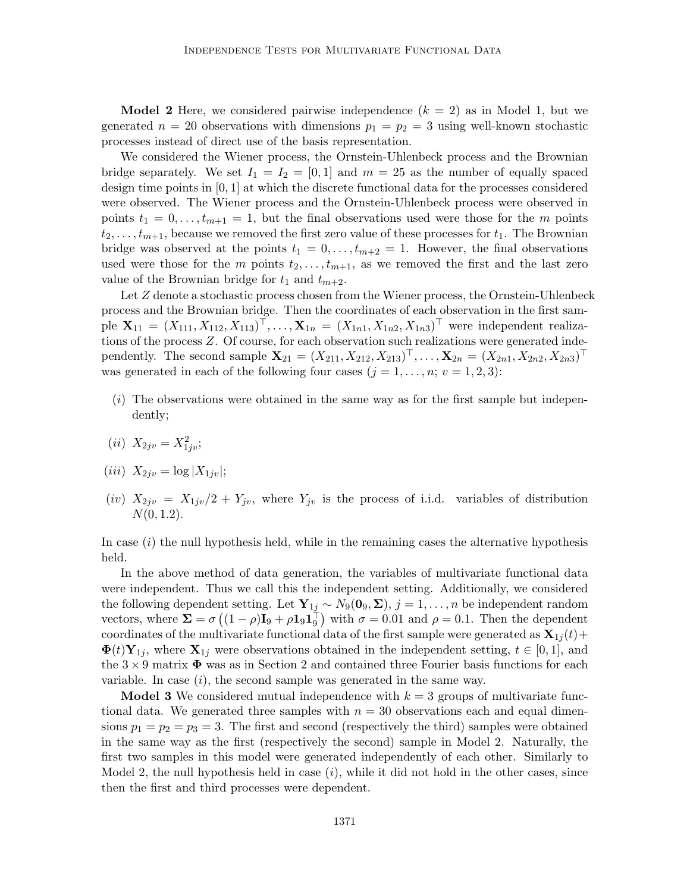**Model 2** Here, we considered pairwise independence  $(k = 2)$  as in Model 1, but we generated  $n = 20$  observations with dimensions  $p_1 = p_2 = 3$  using well-known stochastic processes instead of direct use of the basis representation.

We considered the Wiener process, the Ornstein-Uhlenbeck process and the Brownian bridge separately. We set  $I_1 = I_2 = [0, 1]$  and  $m = 25$  as the number of equally spaced design time points in [0, 1] at which the discrete functional data for the processes considered were observed. The Wiener process and the Ornstein-Uhlenbeck process were observed in points  $t_1 = 0, \ldots, t_{m+1} = 1$ , but the final observations used were those for the m points  $t_2, \ldots, t_{m+1}$ , because we removed the first zero value of these processes for  $t_1$ . The Brownian bridge was observed at the points  $t_1 = 0, \ldots, t_{m+2} = 1$ . However, the final observations used were those for the m points  $t_2, \ldots, t_{m+1}$ , as we removed the first and the last zero value of the Brownian bridge for  $t_1$  and  $t_{m+2}$ .

Let Z denote a stochastic process chosen from the Wiener process, the Ornstein-Uhlenbeck process and the Brownian bridge. Then the coordinates of each observation in the first sample  $\mathbf{X}_{11} = (X_{111}, X_{112}, X_{113})^{\top}, \dots, \mathbf{X}_{1n} = (X_{1n1}, X_{1n2}, X_{1n3})^{\top}$  were independent realizations of the process Z. Of course, for each observation such realizations were generated independently. The second sample  $\mathbf{X}_{21} = (X_{211}, X_{212}, X_{213})^{\top}, \ldots, \mathbf{X}_{2n} = (X_{2n1}, X_{2n2}, X_{2n3})^{\top}$ was generated in each of the following four cases  $(j = 1, \ldots, n; v = 1, 2, 3)$ :

- $(i)$  The observations were obtained in the same way as for the first sample but independently;
- (*ii*)  $X_{2jv} = X_{1jv}^2;$

$$
(iii) X_{2jv} = \log |X_{1jv}|;
$$

(iv)  $X_{2jv} = X_{1jv}/2 + Y_{jv}$ , where  $Y_{jv}$  is the process of i.i.d. variables of distribution  $N(0, 1.2)$ .

In case  $(i)$  the null hypothesis held, while in the remaining cases the alternative hypothesis held.

In the above method of data generation, the variables of multivariate functional data were independent. Thus we call this the independent setting. Additionally, we considered the following dependent setting. Let  $Y_{1j} \sim N_9(0_9, \Sigma)$ ,  $j = 1, ..., n$  be independent random vectors, where  $\Sigma = \sigma ((1 - \rho)I_9 + \rho I_9 I_9^{\dagger})$  with  $\sigma = 0.01$  and  $\rho = 0.1$ . Then the dependent coordinates of the multivariate functional data of the first sample were generated as  $\mathbf{X}_{1j}(t)$  +  $\mathbf{\Phi}(t) \mathbf{Y}_{1j}$ , where  $\mathbf{X}_{1j}$  were observations obtained in the independent setting,  $t \in [0,1]$ , and the  $3 \times 9$  matrix  $\Phi$  was as in Section 2 and contained three Fourier basis functions for each variable. In case  $(i)$ , the second sample was generated in the same way.

**Model 3** We considered mutual independence with  $k = 3$  groups of multivariate functional data. We generated three samples with  $n = 30$  observations each and equal dimensions  $p_1 = p_2 = p_3 = 3$ . The first and second (respectively the third) samples were obtained in the same way as the first (respectively the second) sample in Model 2. Naturally, the first two samples in this model were generated independently of each other. Similarly to Model 2, the null hypothesis held in case  $(i)$ , while it did not hold in the other cases, since then the first and third processes were dependent.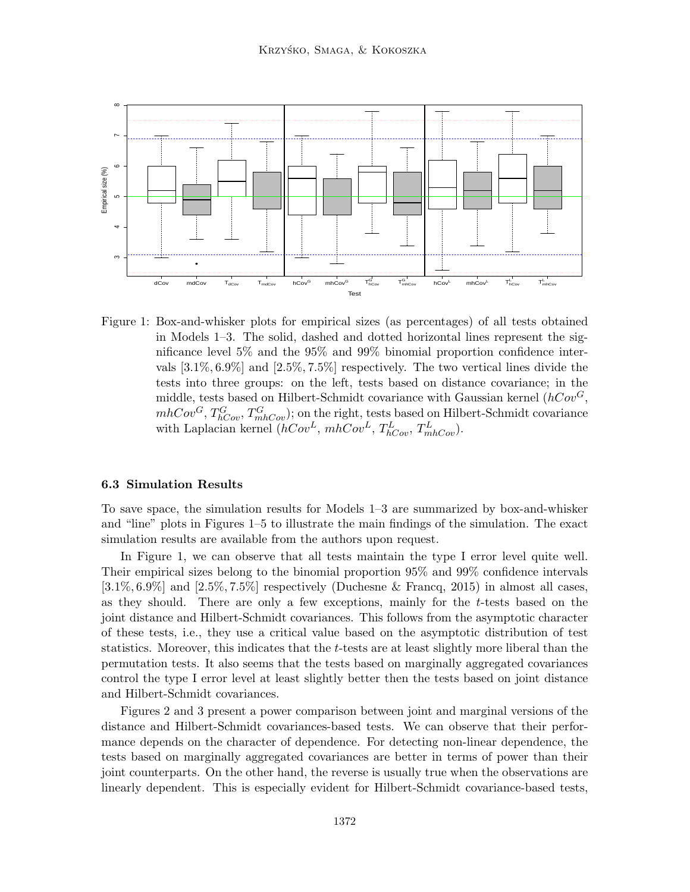

Figure 1: Box-and-whisker plots for empirical sizes (as percentages) of all tests obtained in Models 1–3. The solid, dashed and dotted horizontal lines represent the significance level 5% and the 95% and 99% binomial proportion confidence intervals [3.1%, 6.9%] and [2.5%, 7.5%] respectively. The two vertical lines divide the tests into three groups: on the left, tests based on distance covariance; in the middle, tests based on Hilbert-Schmidt covariance with Gaussian kernel  $(hCov^G,$  $mhCov<sup>G</sup>, T_{hCov}^G, T_{mhCov}^G$ ; on the right, tests based on Hilbert-Schmidt covariance with Laplacian kernel  $(hCov^L, mhCov^L, T_{hCov}^L, T_{mhCov}^L)$ .

### 6.3 Simulation Results

To save space, the simulation results for Models 1–3 are summarized by box-and-whisker and "line" plots in Figures 1–5 to illustrate the main findings of the simulation. The exact simulation results are available from the authors upon request.

In Figure 1, we can observe that all tests maintain the type I error level quite well. Their empirical sizes belong to the binomial proportion 95% and 99% confidence intervals  $[3.1\%, 6.9\%]$  and  $[2.5\%, 7.5\%]$  respectively (Duchesne & Francq, 2015) in almost all cases, as they should. There are only a few exceptions, mainly for the  $t$ -tests based on the joint distance and Hilbert-Schmidt covariances. This follows from the asymptotic character of these tests, i.e., they use a critical value based on the asymptotic distribution of test statistics. Moreover, this indicates that the t-tests are at least slightly more liberal than the permutation tests. It also seems that the tests based on marginally aggregated covariances control the type I error level at least slightly better then the tests based on joint distance and Hilbert-Schmidt covariances.

Figures 2 and 3 present a power comparison between joint and marginal versions of the distance and Hilbert-Schmidt covariances-based tests. We can observe that their performance depends on the character of dependence. For detecting non-linear dependence, the tests based on marginally aggregated covariances are better in terms of power than their joint counterparts. On the other hand, the reverse is usually true when the observations are linearly dependent. This is especially evident for Hilbert-Schmidt covariance-based tests,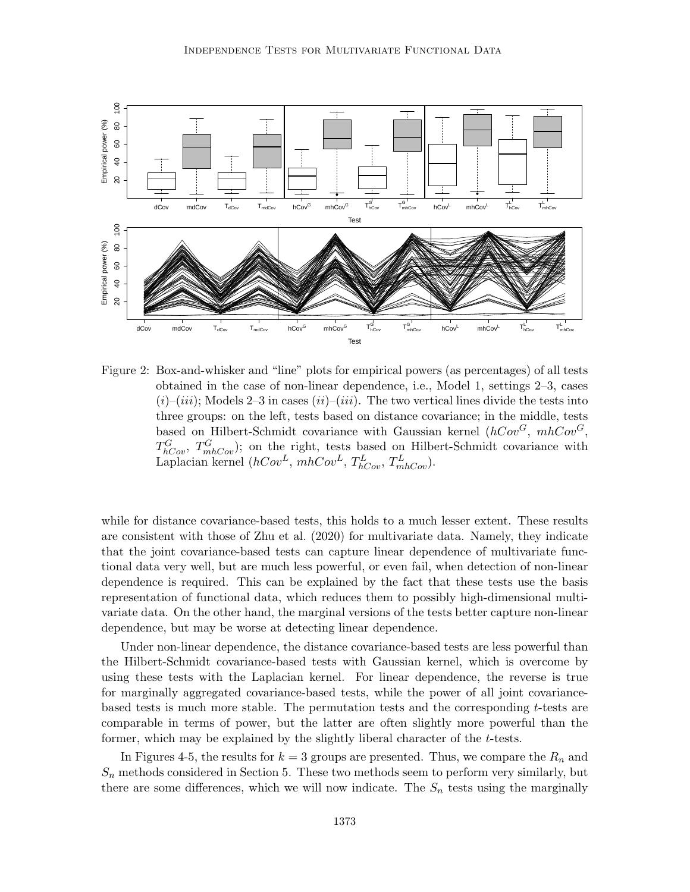

Figure 2: Box-and-whisker and "line" plots for empirical powers (as percentages) of all tests obtained in the case of non-linear dependence, i.e., Model 1, settings 2–3, cases  $(i)$ – $(iii)$ ; Models 2–3 in cases  $(ii)$ – $(iii)$ . The two vertical lines divide the tests into three groups: on the left, tests based on distance covariance; in the middle, tests based on Hilbert-Schmidt covariance with Gaussian kernel  $(hCov^G, mhCov^G,$  $T_{hCov}^G$ ,  $T_{mhCov}^G$ ); on the right, tests based on Hilbert-Schmidt covariance with Laplacian kernel  $(hCov^L, mhCov^L, T_{hCov}^L, T_{mhCov}^L)$ .

while for distance covariance-based tests, this holds to a much lesser extent. These results are consistent with those of Zhu et al. (2020) for multivariate data. Namely, they indicate that the joint covariance-based tests can capture linear dependence of multivariate functional data very well, but are much less powerful, or even fail, when detection of non-linear dependence is required. This can be explained by the fact that these tests use the basis representation of functional data, which reduces them to possibly high-dimensional multivariate data. On the other hand, the marginal versions of the tests better capture non-linear dependence, but may be worse at detecting linear dependence.

Under non-linear dependence, the distance covariance-based tests are less powerful than the Hilbert-Schmidt covariance-based tests with Gaussian kernel, which is overcome by using these tests with the Laplacian kernel. For linear dependence, the reverse is true for marginally aggregated covariance-based tests, while the power of all joint covariancebased tests is much more stable. The permutation tests and the corresponding  $t$ -tests are comparable in terms of power, but the latter are often slightly more powerful than the former, which may be explained by the slightly liberal character of the t-tests.

In Figures 4-5, the results for  $k = 3$  groups are presented. Thus, we compare the  $R_n$  and  $S_n$  methods considered in Section 5. These two methods seem to perform very similarly, but there are some differences, which we will now indicate. The  $S_n$  tests using the marginally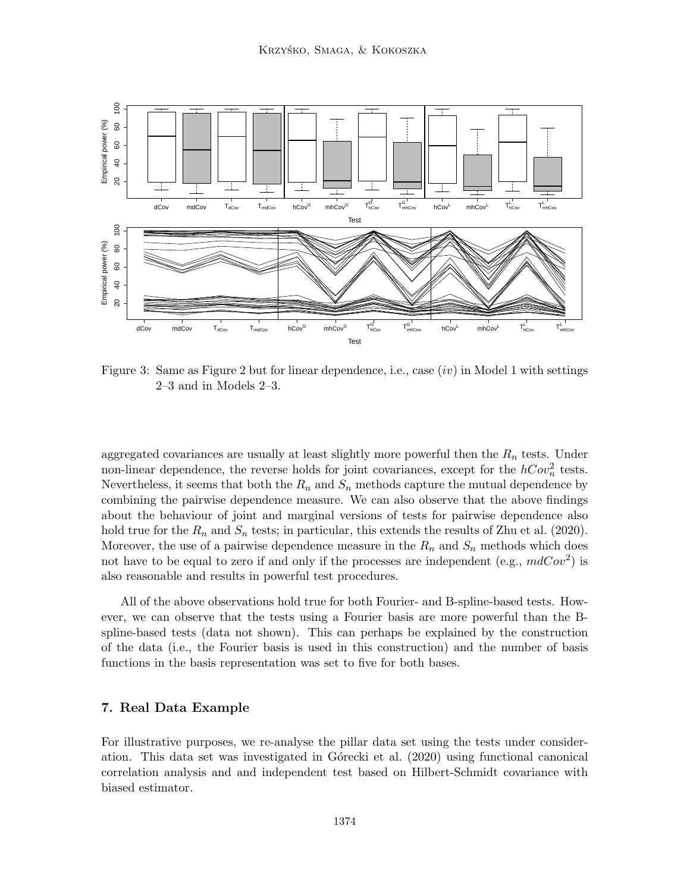

Figure 3: Same as Figure 2 but for linear dependence, i.e., case  $(iv)$  in Model 1 with settings 2–3 and in Models 2–3.

aggregated covariances are usually at least slightly more powerful then the  $R_n$  tests. Under non-linear dependence, the reverse holds for joint covariances, except for the  $hCov_n^2$  tests. Nevertheless, it seems that both the  $R_n$  and  $S_n$  methods capture the mutual dependence by combining the pairwise dependence measure. We can also observe that the above findings about the behaviour of joint and marginal versions of tests for pairwise dependence also hold true for the  $R_n$  and  $S_n$  tests; in particular, this extends the results of Zhu et al. (2020). Moreover, the use of a pairwise dependence measure in the  $R_n$  and  $S_n$  methods which does not have to be equal to zero if and only if the processes are independent (e.g.,  $mdCov<sup>2</sup>$ ) is also reasonable and results in powerful test procedures.

All of the above observations hold true for both Fourier- and B-spline-based tests. However, we can observe that the tests using a Fourier basis are more powerful than the Bspline-based tests (data not shown). This can perhaps be explained by the construction of the data (i.e., the Fourier basis is used in this construction) and the number of basis functions in the basis representation was set to five for both bases.

# 7. Real Data Example

For illustrative purposes, we re-analyse the pillar data set using the tests under consideration. This data set was investigated in G $\acute{o}$ recki et al. (2020) using functional canonical correlation analysis and and independent test based on Hilbert-Schmidt covariance with biased estimator.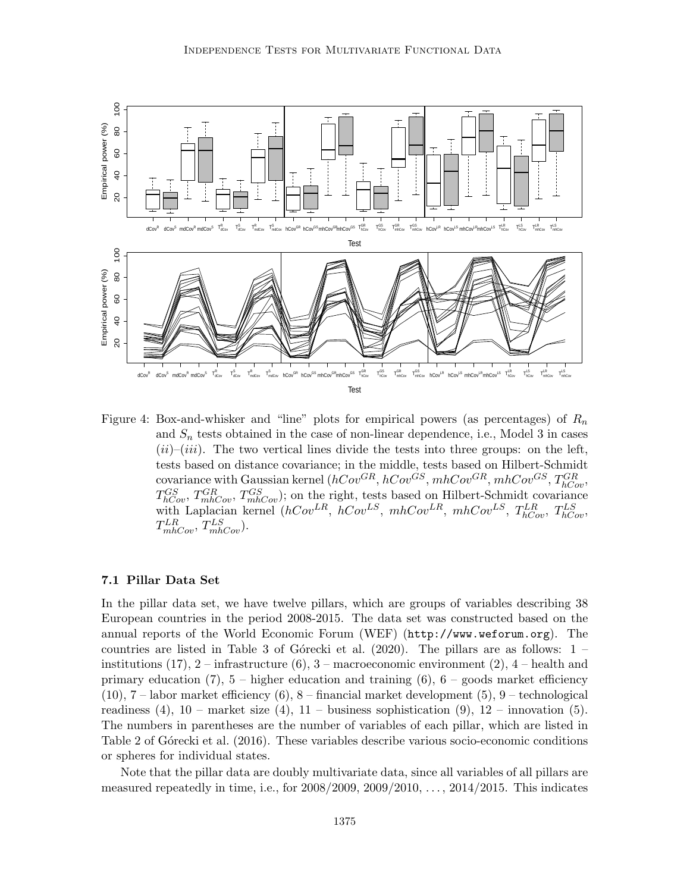

Figure 4: Box-and-whisker and "line" plots for empirical powers (as percentages) of  $R_n$ and  $S_n$  tests obtained in the case of non-linear dependence, i.e., Model 3 in cases  $(ii)$ – $(iii)$ . The two vertical lines divide the tests into three groups: on the left, tests based on distance covariance; in the middle, tests based on Hilbert-Schmidt covariance with Gaussian kernel  $(hCov^{GR}, hCov^{GS}, mhCov^{GR}, mhCov^{GS}, T_{hCov}^{GR},$  $T_{hCov}^{GS}$ ,  $T_{mhCov}^{GR}$ ,  $T_{mhCov}^{GS}$ ); on the right, tests based on Hilbert-Schmidt covariance with Laplacian kernel ( $hCov^{LR}$ ,  $hCov^{LS}$ ,  $mhCov^{LR}$ ,  $mhCov^{LS}$ ,  $T_{hCov}^{LR}$ ,  $T_{hCov}^{LS}$ ,  $T_{m h Cov}^{LR}$ ,  $T_{m h Cov}^{LS}$ ).

#### 7.1 Pillar Data Set

In the pillar data set, we have twelve pillars, which are groups of variables describing 38 European countries in the period 2008-2015. The data set was constructed based on the annual reports of the World Economic Forum (WEF) (http://www.weforum.org). The countries are listed in Table 3 of Górecki et al. (2020). The pillars are as follows:  $1$ institutions  $(17)$ ,  $2$  – infrastructure  $(6)$ ,  $3$  – macroeconomic environment  $(2)$ ,  $4$  – health and primary education (7),  $5$  – higher education and training (6),  $6$  – goods market efficiency  $(10)$ ,  $7$  – labor market efficiency  $(6)$ ,  $8$  – financial market development  $(5)$ ,  $9$  – technological readiness (4),  $10$  – market size (4),  $11$  – business sophistication (9),  $12$  – innovation (5). The numbers in parentheses are the number of variables of each pillar, which are listed in Table 2 of Górecki et al. (2016). These variables describe various socio-economic conditions or spheres for individual states.

Note that the pillar data are doubly multivariate data, since all variables of all pillars are measured repeatedly in time, i.e., for  $2008/2009$ ,  $2009/2010$ ,  $\dots$ ,  $2014/2015$ . This indicates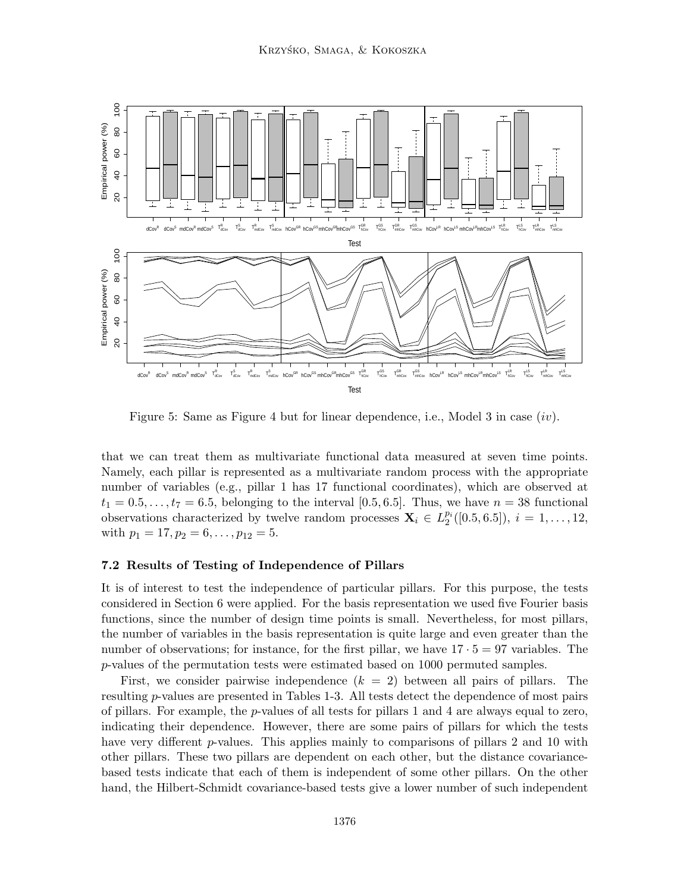

Figure 5: Same as Figure 4 but for linear dependence, i.e., Model 3 in case  $(iv)$ .

that we can treat them as multivariate functional data measured at seven time points. Namely, each pillar is represented as a multivariate random process with the appropriate number of variables (e.g., pillar 1 has 17 functional coordinates), which are observed at  $t_1 = 0.5, \ldots, t_7 = 6.5$ , belonging to the interval [0.5, 6.5]. Thus, we have  $n = 38$  functional observations characterized by twelve random processes  $\mathbf{X}_i \in L_2^{p_i}([0.5, 6.5])$ ,  $i = 1, ..., 12$ , with  $p_1 = 17, p_2 = 6, \ldots, p_{12} = 5.$ 

# 7.2 Results of Testing of Independence of Pillars

It is of interest to test the independence of particular pillars. For this purpose, the tests considered in Section 6 were applied. For the basis representation we used five Fourier basis functions, since the number of design time points is small. Nevertheless, for most pillars, the number of variables in the basis representation is quite large and even greater than the number of observations; for instance, for the first pillar, we have  $17 \cdot 5 = 97$  variables. The p-values of the permutation tests were estimated based on 1000 permuted samples.

First, we consider pairwise independence  $(k = 2)$  between all pairs of pillars. The resulting p-values are presented in Tables 1-3. All tests detect the dependence of most pairs of pillars. For example, the  $p$ -values of all tests for pillars 1 and 4 are always equal to zero, indicating their dependence. However, there are some pairs of pillars for which the tests have very different p-values. This applies mainly to comparisons of pillars 2 and 10 with other pillars. These two pillars are dependent on each other, but the distance covariancebased tests indicate that each of them is independent of some other pillars. On the other hand, the Hilbert-Schmidt covariance-based tests give a lower number of such independent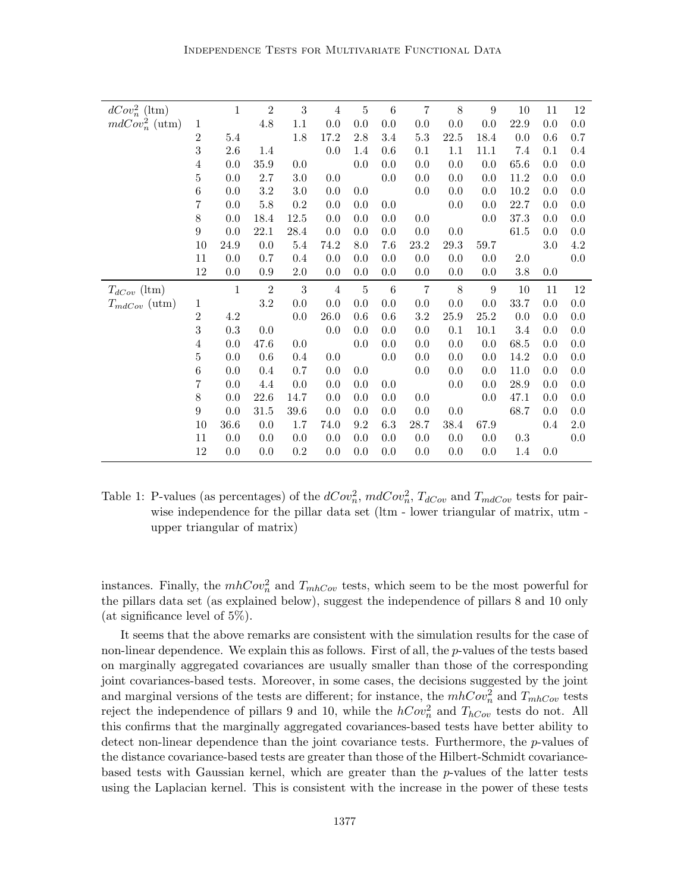| $dCov_n^2$ (ltm)  |                  | $\mathbf{1}$ | $\sqrt{2}$ | 3                | $\overline{4}$ | $\bf 5$        | $6\phantom{.}6$ | $\overline{7}$ | $8\,$      | $\boldsymbol{9}$ | 10         | 11  | 12  |
|-------------------|------------------|--------------|------------|------------------|----------------|----------------|-----------------|----------------|------------|------------------|------------|-----|-----|
| $mdCov_n^2$ (utm) | $\,1\,$          |              | $4.8\,$    | 1.1              | 0.0            | 0.0            | 0.0             | 0.0            | 0.0        | 0.0              | 22.9       | 0.0 | 0.0 |
|                   | $\overline{2}$   | 5.4          |            | 1.8              | 17.2           | $2.8\,$        | 3.4             | $5.3\,$        | $22.5\,$   | 18.4             | 0.0        | 0.6 | 0.7 |
|                   | $\sqrt{3}$       | 2.6          | $1.4\,$    |                  | 0.0            | 1.4            | 0.6             | 0.1            | 1.1        | 11.1             | 7.4        | 0.1 | 0.4 |
|                   | 4                | 0.0          | $35.9\,$   | 0.0              |                | 0.0            | 0.0             | 0.0            | 0.0        | $0.0\,$          | 65.6       | 0.0 | 0.0 |
|                   | $\bf 5$          | 0.0          | $2.7\,$    | 3.0              | 0.0            |                | 0.0             | 0.0            | 0.0        | 0.0              | 11.2       | 0.0 | 0.0 |
|                   | $\,6$            | 0.0          | $3.2\,$    | $3.0\,$          | 0.0            | 0.0            |                 | 0.0            | 0.0        | 0.0              | $10.2\,$   | 0.0 | 0.0 |
|                   | $\!\!7$          | 0.0          | $5.8\,$    | 0.2              | 0.0            | 0.0            | 0.0             |                | 0.0        | 0.0              | 22.7       | 0.0 | 0.0 |
|                   | $8\,$            | 0.0          | 18.4       | 12.5             | 0.0            | 0.0            | 0.0             | 0.0            |            | 0.0              | 37.3       | 0.0 | 0.0 |
|                   | $\boldsymbol{9}$ | 0.0          | 22.1       | 28.4             | 0.0            | 0.0            | 0.0             | 0.0            | 0.0        |                  | 61.5       | 0.0 | 0.0 |
|                   | 10               | 24.9         | 0.0        | $5.4\,$          | 74.2           | 8.0            | 7.6             | 23.2           | $29.3\,$   | 59.7             |            | 3.0 | 4.2 |
|                   | 11               | 0.0          | 0.7        | 0.4              | 0.0            | 0.0            | 0.0             | 0.0            | 0.0        | 0.0              | 2.0        |     | 0.0 |
|                   | $12\,$           | 0.0          | 0.9        | $2.0\,$          | 0.0            | 0.0            | 0.0             | 0.0            | 0.0        | 0.0              | 3.8        | 0.0 |     |
|                   |                  |              |            |                  |                |                |                 |                |            |                  |            |     |     |
|                   |                  | $\,1\,$      | $\sqrt{2}$ | $\boldsymbol{3}$ | $\overline{4}$ | $\bf 5$        | $\,6$           | $\overline{7}$ | $8\,$      | $\boldsymbol{9}$ | 10         | 11  | 12  |
| $T_{dCov}$ (ltm)  | $\,1$            |              | $3.2\,$    | 0.0              | 0.0            | 0.0            | 0.0             | 0.0            | 0.0        | 0.0              | 33.7       | 0.0 | 0.0 |
| $T_{mdCov}$ (utm) | $\,2$            | $4.2\,$      |            | 0.0              | 26.0           | 0.6            | 0.6             | 3.2            | $25.9\,$   | $25.2\,$         | 0.0        | 0.0 | 0.0 |
|                   | $\sqrt{3}$       | $\rm 0.3$    | 0.0        |                  | 0.0            | 0.0            | 0.0             | 0.0            | 0.1        | 10.1             | 3.4        | 0.0 | 0.0 |
|                   | 4                | 0.0          | 47.6       | 0.0              |                | 0.0            | 0.0             | 0.0            | 0.0        | 0.0              | 68.5       | 0.0 | 0.0 |
|                   | $\bf 5$          | 0.0          | 0.6        | 0.4              | 0.0            |                | 0.0             | 0.0            | 0.0        | 0.0              | 14.2       | 0.0 | 0.0 |
|                   | $\,6$            | 0.0          | 0.4        | 0.7              | 0.0            | 0.0            |                 | 0.0            | 0.0        | 0.0              | 11.0       | 0.0 | 0.0 |
|                   | $\!\!7$          | 0.0          | 4.4        | 0.0              | 0.0            | 0.0            | 0.0             |                | 0.0        | 0.0              | 28.9       | 0.0 | 0.0 |
|                   | $8\,$            | 0.0          | 22.6       | 14.7             | 0.0            | 0.0            | 0.0             | 0.0            |            | 0.0              | 47.1       | 0.0 | 0.0 |
|                   | $\boldsymbol{9}$ | 0.0          | 31.5       | 39.6             | 0.0            | 0.0            | 0.0             | 0.0            | $0.0\,$    |                  | 68.7       | 0.0 | 0.0 |
|                   | 10               | 36.6         | 0.0        | 1.7              | 74.0           | 9.2            | 6.3             | 28.7           | 38.4       | 67.9             |            | 0.4 | 2.0 |
|                   | 11<br>$12\,$     | 0.0<br>0.0   | 0.0<br>0.0 | 0.0<br>0.2       | 0.0            | 0.0<br>$0.0\,$ | 0.0<br>0.0      | 0.0<br>0.0     | 0.0<br>0.0 | 0.0<br>0.0       | 0.3<br>1.4 | 0.0 | 0.0 |

Table 1: P-values (as percentages) of the  $dCov_n^2$ ,  $mdCov_n^2$ ,  $T_{dCov}$  and  $T_{mdCov}$  tests for pairwise independence for the pillar data set (ltm - lower triangular of matrix, utm upper triangular of matrix)

instances. Finally, the  $mhCov_n^2$  and  $T_{mhCov}$  tests, which seem to be the most powerful for the pillars data set (as explained below), suggest the independence of pillars 8 and 10 only (at significance level of 5%).

It seems that the above remarks are consistent with the simulation results for the case of non-linear dependence. We explain this as follows. First of all, the p-values of the tests based on marginally aggregated covariances are usually smaller than those of the corresponding joint covariances-based tests. Moreover, in some cases, the decisions suggested by the joint and marginal versions of the tests are different; for instance, the  $mhCov_n^2$  and  $T_{mhCov}$  tests reject the independence of pillars 9 and 10, while the  $hCov_n^2$  and  $T_{hCov}$  tests do not. All this confirms that the marginally aggregated covariances-based tests have better ability to detect non-linear dependence than the joint covariance tests. Furthermore, the p-values of the distance covariance-based tests are greater than those of the Hilbert-Schmidt covariancebased tests with Gaussian kernel, which are greater than the p-values of the latter tests using the Laplacian kernel. This is consistent with the increase in the power of these tests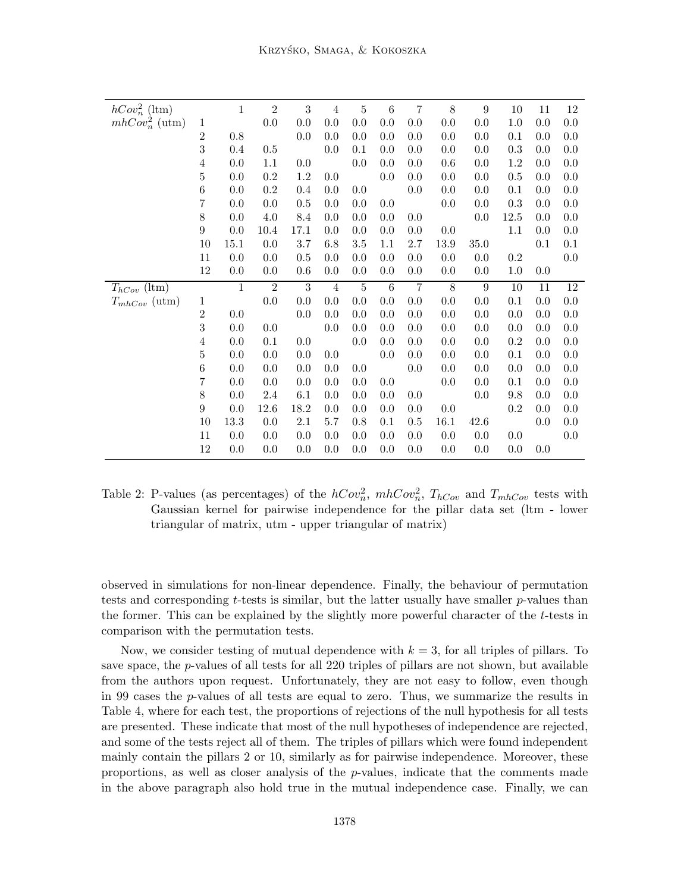| $hCov_n^2$ (ltm)                      |                  | $\mathbf{1}$ | $\sqrt{2}$     | $\sqrt{3}$     | $\overline{4}$ | $\bf 5$        | $6\phantom{.}6$ | $\overline{7}$ | 8          | 9          | 10         | 11      | 12  |
|---------------------------------------|------------------|--------------|----------------|----------------|----------------|----------------|-----------------|----------------|------------|------------|------------|---------|-----|
| $mhCov_n^2$ (utm)                     | $\mathbf 1$      |              | $0.0\,$        | 0.0            | $0.0\,$        | $0.0\,$        | 0.0             | 0.0            | 0.0        | 0.0        | 1.0        | 0.0     | 0.0 |
|                                       | $\overline{2}$   | 0.8          |                | 0.0            | 0.0            | 0.0            | 0.0             | 0.0            | 0.0        | 0.0        | 0.1        | 0.0     | 0.0 |
|                                       | 3                | 0.4          | 0.5            |                | 0.0            | 0.1            | 0.0             | 0.0            | 0.0        | 0.0        | 0.3        | 0.0     | 0.0 |
|                                       | 4                | 0.0          | 1.1            | 0.0            |                | 0.0            | 0.0             | 0.0            | 0.6        | 0.0        | 1.2        | 0.0     | 0.0 |
|                                       | $\bf 5$          | 0.0          | $\rm 0.2$      | 1.2            | 0.0            |                | 0.0             | 0.0            | 0.0        | 0.0        | $0.5\,$    | 0.0     | 0.0 |
|                                       | $\,6$            | 0.0          | 0.2            | 0.4            | 0.0            | 0.0            |                 | 0.0            | 0.0        | 0.0        | 0.1        | 0.0     | 0.0 |
|                                       | 7                | 0.0          | 0.0            | 0.5            | 0.0            | 0.0            | 0.0             |                | 0.0        | 0.0        | 0.3        | 0.0     | 0.0 |
|                                       | 8                | 0.0          | 4.0            | 8.4            | 0.0            | 0.0            | 0.0             | 0.0            |            | 0.0        | 12.5       | 0.0     | 0.0 |
|                                       | $\boldsymbol{9}$ | 0.0          | 10.4           | 17.1           | 0.0            | 0.0            | 0.0             | 0.0            | 0.0        |            | 1.1        | 0.0     | 0.0 |
|                                       | 10               | 15.1         | 0.0            | 3.7            | 6.8            | $3.5\,$        | 1.1             | 2.7            | 13.9       | 35.0       |            | 0.1     | 0.1 |
|                                       | 11               | $0.0\,$      | 0.0            | 0.5            | 0.0            | 0.0            | 0.0             | 0.0            | 0.0        | 0.0        | 0.2        |         | 0.0 |
|                                       | 12               | 0.0          | 0.0            | 0.6            | 0.0            | 0.0            | 0.0             | 0.0            | 0.0        | 0.0        | 1.0        | 0.0     |     |
|                                       |                  |              |                |                |                |                |                 |                |            |            |            |         |     |
|                                       |                  | $\mathbf{1}$ | $\overline{2}$ | $\overline{3}$ | 4              | $\overline{5}$ | 6               | $\overline{7}$ | 8          | 9          | 10         | 11      | 12  |
| $T_{hCov}$ (ltm)<br>$T_{mhCov}$ (utm) | $\mathbf 1$      |              | $0.0\,$        | $0.0\,$        | $0.0\,$        | $0.0\,$        | $0.0\,$         | 0.0            | 0.0        | 0.0        | 0.1        | 0.0     | 0.0 |
|                                       | $\overline{2}$   | 0.0          |                | 0.0            | 0.0            | 0.0            | 0.0             | 0.0            | 0.0        | 0.0        | 0.0        | 0.0     | 0.0 |
|                                       | 3                | 0.0          | 0.0            |                | $0.0\,$        | 0.0            | 0.0             | 0.0            | 0.0        | 0.0        | 0.0        | 0.0     | 0.0 |
|                                       | $\overline{4}$   | 0.0          | 0.1            | 0.0            |                | 0.0            | 0.0             | 0.0            | 0.0        | 0.0        | 0.2        | 0.0     | 0.0 |
|                                       | $\bf 5$          | 0.0          | 0.0            | 0.0            | 0.0            |                | 0.0             | 0.0            | 0.0        | 0.0        | 0.1        | 0.0     | 0.0 |
|                                       | $\,6$            | 0.0          | 0.0            | 0.0            | 0.0            | 0.0            |                 | 0.0            | 0.0        | 0.0        | 0.0        | 0.0     | 0.0 |
|                                       | 7                | 0.0          | 0.0            | 0.0            | 0.0            | 0.0            | 0.0             |                | 0.0        | 0.0        | 0.1        | 0.0     | 0.0 |
|                                       | 8                | 0.0          | 2.4            | 6.1            | 0.0            | 0.0            | 0.0             | 0.0            |            | 0.0        | 9.8        | 0.0     | 0.0 |
|                                       | 9                | 0.0          | 12.6           | 18.2           | 0.0            | 0.0            | 0.0             | 0.0            | 0.0        |            | $\rm 0.2$  | 0.0     | 0.0 |
|                                       | 10               | 13.3         | 0.0            | 2.1            | 5.7            | 0.8            | 0.1             | $0.5\,$        | 16.1       | 42.6       |            | 0.0     | 0.0 |
|                                       | 11<br>$12\,$     | 0.0<br>0.0   | 0.0<br>$0.0\,$ | 0.0<br>0.0     | 0.0<br>0.0     | 0.0<br>0.0     | 0.0<br>0.0      | 0.0<br>0.0     | 0.0<br>0.0 | 0.0<br>0.0 | 0.0<br>0.0 | $0.0\,$ | 0.0 |

Table 2: P-values (as percentages) of the  $hCov_n^2$ ,  $mhCov_n^2$ ,  $T_{hCov}$  and  $T_{mhCov}$  tests with Gaussian kernel for pairwise independence for the pillar data set (ltm - lower triangular of matrix, utm - upper triangular of matrix)

observed in simulations for non-linear dependence. Finally, the behaviour of permutation tests and corresponding t-tests is similar, but the latter usually have smaller p-values than the former. This can be explained by the slightly more powerful character of the t-tests in comparison with the permutation tests.

Now, we consider testing of mutual dependence with  $k = 3$ , for all triples of pillars. To save space, the  $p$ -values of all tests for all 220 triples of pillars are not shown, but available from the authors upon request. Unfortunately, they are not easy to follow, even though in 99 cases the  $p$ -values of all tests are equal to zero. Thus, we summarize the results in Table 4, where for each test, the proportions of rejections of the null hypothesis for all tests are presented. These indicate that most of the null hypotheses of independence are rejected, and some of the tests reject all of them. The triples of pillars which were found independent mainly contain the pillars 2 or 10, similarly as for pairwise independence. Moreover, these proportions, as well as closer analysis of the  $p$ -values, indicate that the comments made in the above paragraph also hold true in the mutual independence case. Finally, we can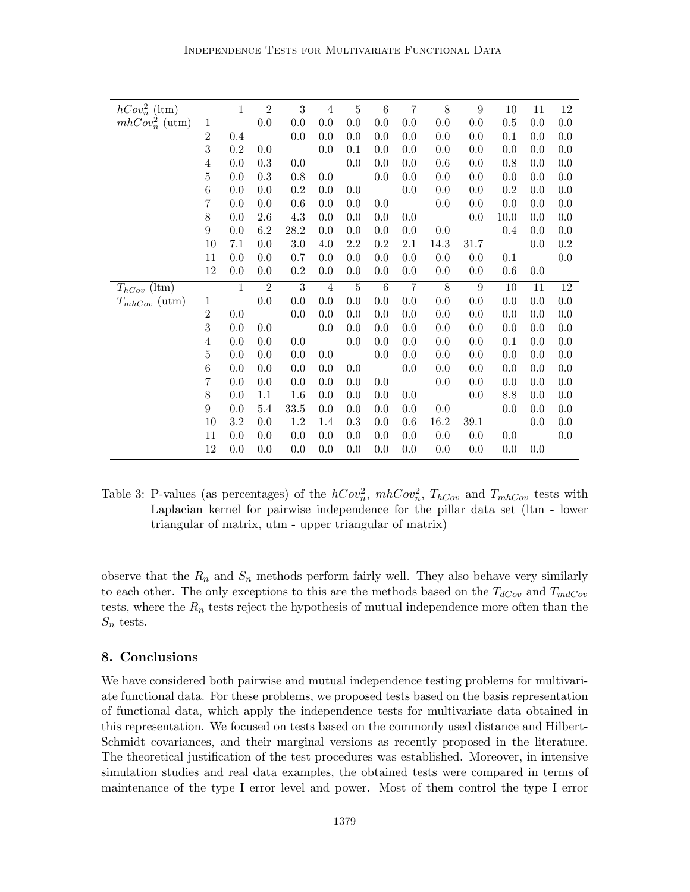| $hCov_n^2$ (ltm)  |                | $\mathbf{1}$ | $\overline{2}$ | $\boldsymbol{3}$ | $\overline{4}$ | $\bf 5$        | $\,6$           | 7       | 8    | 9    | 10      | 11  | 12      |
|-------------------|----------------|--------------|----------------|------------------|----------------|----------------|-----------------|---------|------|------|---------|-----|---------|
| $mhCov_n^2$ (utm) | $\mathbf 1$    |              | $0.0\,$        | 0.0              | $0.0\,$        | $0.0\,$        | 0.0             | $0.0\,$ | 0.0  | 0.0  | 0.5     | 0.0 | $0.0\,$ |
|                   | $\overline{2}$ | 0.4          |                | 0.0              | 0.0            | 0.0            | 0.0             | 0.0     | 0.0  | 0.0  | 0.1     | 0.0 | 0.0     |
|                   | 3              | $0.2\,$      | 0.0            |                  | 0.0            | 0.1            | 0.0             | 0.0     | 0.0  | 0.0  | 0.0     | 0.0 | 0.0     |
|                   | 4              | 0.0          | 0.3            | 0.0              |                | 0.0            | 0.0             | 0.0     | 0.6  | 0.0  | 0.8     | 0.0 | 0.0     |
|                   | 5              | 0.0          | 0.3            | 0.8              | 0.0            |                | 0.0             | 0.0     | 0.0  | 0.0  | 0.0     | 0.0 | 0.0     |
|                   | 6              | 0.0          | 0.0            | 0.2              | 0.0            | 0.0            |                 | 0.0     | 0.0  | 0.0  | 0.2     | 0.0 | 0.0     |
|                   | 7              | 0.0          | 0.0            | 0.6              | 0.0            | 0.0            | 0.0             |         | 0.0  | 0.0  | 0.0     | 0.0 | 0.0     |
|                   | 8              | 0.0          | 2.6            | 4.3              | 0.0            | 0.0            | 0.0             | 0.0     |      | 0.0  | 10.0    | 0.0 | 0.0     |
|                   | 9              | 0.0          | 6.2            | 28.2             | 0.0            | 0.0            | 0.0             | 0.0     | 0.0  |      | $0.4\,$ | 0.0 | 0.0     |
|                   | 10             | 7.1          | 0.0            | 3.0              | 4.0            | 2.2            | 0.2             | 2.1     | 14.3 | 31.7 |         | 0.0 | 0.2     |
|                   | 11             | 0.0          | 0.0            | 0.7              | 0.0            | 0.0            | 0.0             | 0.0     | 0.0  | 0.0  | 0.1     |     | 0.0     |
|                   | $12\,$         | 0.0          | 0.0            | 0.2              | 0.0            | 0.0            | 0.0             | 0.0     | 0.0  | 0.0  | $0.6\,$ | 0.0 |         |
| $T_{hCov}$ (ltm)  |                | $1\,$        | $\overline{2}$ | $\sqrt{3}$       | $\overline{4}$ | $\overline{5}$ | $6\phantom{.}6$ | 7       | 8    | 9    | 10      | 11  | $12\,$  |
| $T_{mhCov}$ (utm) | $\mathbf 1$    |              | 0.0            | 0.0              | 0.0            | 0.0            | 0.0             | 0.0     | 0.0  | 0.0  | 0.0     | 0.0 | 0.0     |
|                   | $\overline{2}$ | 0.0          |                | 0.0              | 0.0            | 0.0            | 0.0             | 0.0     | 0.0  | 0.0  | 0.0     | 0.0 | 0.0     |
|                   | 3              | 0.0          | 0.0            |                  | 0.0            | 0.0            | 0.0             | 0.0     | 0.0  | 0.0  | 0.0     | 0.0 | 0.0     |
|                   | 4              | 0.0          | 0.0            | 0.0              |                | 0.0            | 0.0             | 0.0     | 0.0  | 0.0  | 0.1     | 0.0 | 0.0     |
|                   | 5              | 0.0          | 0.0            | 0.0              | 0.0            |                | 0.0             | 0.0     | 0.0  | 0.0  | 0.0     | 0.0 | 0.0     |
|                   | 6              | 0.0          | 0.0            | 0.0              | 0.0            | 0.0            |                 | 0.0     | 0.0  | 0.0  | 0.0     | 0.0 | 0.0     |
|                   | 7              | 0.0          | 0.0            | 0.0              | 0.0            | 0.0            | 0.0             |         | 0.0  | 0.0  | 0.0     | 0.0 | 0.0     |
|                   |                |              |                |                  |                |                |                 |         |      |      |         |     |         |
|                   | 8              | 0.0          | $1.1\,$        | 1.6              | 0.0            | 0.0            | 0.0             | 0.0     |      | 0.0  | 8.8     | 0.0 | 0.0     |
|                   | 9              | 0.0          | 5.4            | 33.5             | 0.0            | 0.0            | 0.0             | 0.0     | 0.0  |      | 0.0     | 0.0 | 0.0     |
|                   | 10             | 3.2          | 0.0            | 1.2              | 1.4            | 0.3            | 0.0             | 0.6     | 16.2 | 39.1 |         | 0.0 | 0.0     |
|                   | 11<br>$12\,$   | 0.0          | 0.0            | 0.0              | 0.0            | 0.0            | 0.0             | 0.0     | 0.0  | 0.0  | 0.0     |     | 0.0     |

Table 3: P-values (as percentages) of the  $hCov_n^2$ ,  $m hCov_n^2$ ,  $T_{hCov}$  and  $T_{mhCov}$  tests with Laplacian kernel for pairwise independence for the pillar data set (ltm - lower triangular of matrix, utm - upper triangular of matrix)

observe that the  $R_n$  and  $S_n$  methods perform fairly well. They also behave very similarly to each other. The only exceptions to this are the methods based on the  $T_{dCov}$  and  $T_{mdCov}$ tests, where the  $R_n$  tests reject the hypothesis of mutual independence more often than the  $S_n$  tests.

# 8. Conclusions

We have considered both pairwise and mutual independence testing problems for multivariate functional data. For these problems, we proposed tests based on the basis representation of functional data, which apply the independence tests for multivariate data obtained in this representation. We focused on tests based on the commonly used distance and Hilbert-Schmidt covariances, and their marginal versions as recently proposed in the literature. The theoretical justification of the test procedures was established. Moreover, in intensive simulation studies and real data examples, the obtained tests were compared in terms of maintenance of the type I error level and power. Most of them control the type I error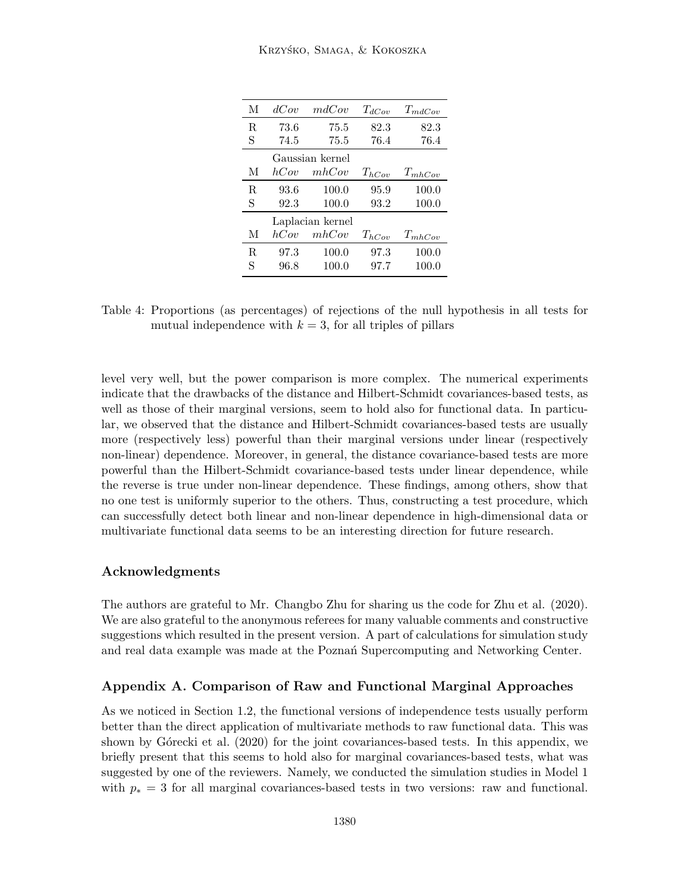| М  | dCov            | mdCov            | $T_{dCov}$ | $T_{mdCov}$ |  |  |  |  |  |
|----|-----------------|------------------|------------|-------------|--|--|--|--|--|
| R. | 73.6            | 75.5             | 82.3       | 82.3        |  |  |  |  |  |
| S  | 74.5            | 75.5             | 76.4       | 76.4        |  |  |  |  |  |
|    | Gaussian kernel |                  |            |             |  |  |  |  |  |
| М  | hCov            | mhCov            | $T_{hCov}$ | $T_{mhCov}$ |  |  |  |  |  |
| R. | 93.6            | 100.0            | 95.9       | 100.0       |  |  |  |  |  |
| S  | 92.3            | 100.0            | 93.2       | 100.0       |  |  |  |  |  |
|    |                 | Laplacian kernel |            |             |  |  |  |  |  |
| М  | hCov            | mhCov            | $T_{hCov}$ | $T_{mhCov}$ |  |  |  |  |  |
| R  | 97.3            | 100.0            | 97.3       | 100.0       |  |  |  |  |  |
| S  | 96.8            | 100.0            | 97.7       | 100.0       |  |  |  |  |  |

Table 4: Proportions (as percentages) of rejections of the null hypothesis in all tests for mutual independence with  $k = 3$ , for all triples of pillars

level very well, but the power comparison is more complex. The numerical experiments indicate that the drawbacks of the distance and Hilbert-Schmidt covariances-based tests, as well as those of their marginal versions, seem to hold also for functional data. In particular, we observed that the distance and Hilbert-Schmidt covariances-based tests are usually more (respectively less) powerful than their marginal versions under linear (respectively non-linear) dependence. Moreover, in general, the distance covariance-based tests are more powerful than the Hilbert-Schmidt covariance-based tests under linear dependence, while the reverse is true under non-linear dependence. These findings, among others, show that no one test is uniformly superior to the others. Thus, constructing a test procedure, which can successfully detect both linear and non-linear dependence in high-dimensional data or multivariate functional data seems to be an interesting direction for future research.

# Acknowledgments

The authors are grateful to Mr. Changbo Zhu for sharing us the code for Zhu et al. (2020). We are also grateful to the anonymous referees for many valuable comments and constructive suggestions which resulted in the present version. A part of calculations for simulation study and real data example was made at the Poznań Supercomputing and Networking Center.

# Appendix A. Comparison of Raw and Functional Marginal Approaches

As we noticed in Section 1.2, the functional versions of independence tests usually perform better than the direct application of multivariate methods to raw functional data. This was shown by Górecki et al. (2020) for the joint covariances-based tests. In this appendix, we briefly present that this seems to hold also for marginal covariances-based tests, what was suggested by one of the reviewers. Namely, we conducted the simulation studies in Model 1 with  $p_* = 3$  for all marginal covariances-based tests in two versions: raw and functional.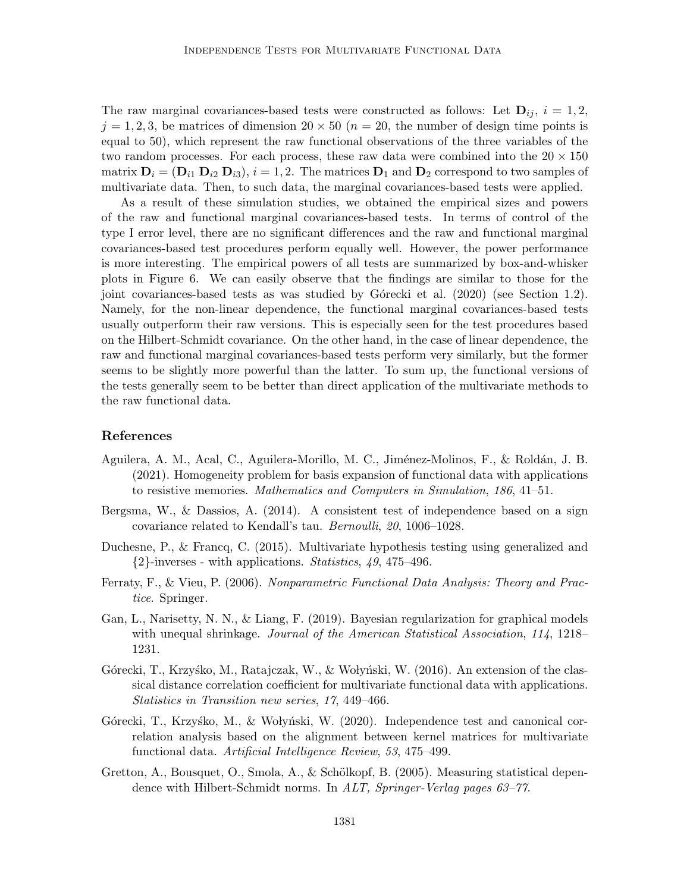The raw marginal covariances-based tests were constructed as follows: Let  $\mathbf{D}_{ij}$ ,  $i = 1, 2$ ,  $j = 1, 2, 3$ , be matrices of dimension  $20 \times 50$  ( $n = 20$ , the number of design time points is equal to 50), which represent the raw functional observations of the three variables of the two random processes. For each process, these raw data were combined into the  $20 \times 150$ matrix  $D_i = (D_{i1} D_{i2} D_{i3}), i = 1, 2$ . The matrices  $D_1$  and  $D_2$  correspond to two samples of multivariate data. Then, to such data, the marginal covariances-based tests were applied.

As a result of these simulation studies, we obtained the empirical sizes and powers of the raw and functional marginal covariances-based tests. In terms of control of the type I error level, there are no significant differences and the raw and functional marginal covariances-based test procedures perform equally well. However, the power performance is more interesting. The empirical powers of all tests are summarized by box-and-whisker plots in Figure 6. We can easily observe that the findings are similar to those for the joint covariances-based tests as was studied by Górecki et al. (2020) (see Section 1.2). Namely, for the non-linear dependence, the functional marginal covariances-based tests usually outperform their raw versions. This is especially seen for the test procedures based on the Hilbert-Schmidt covariance. On the other hand, in the case of linear dependence, the raw and functional marginal covariances-based tests perform very similarly, but the former seems to be slightly more powerful than the latter. To sum up, the functional versions of the tests generally seem to be better than direct application of the multivariate methods to the raw functional data.

# References

- Aguilera, A. M., Acal, C., Aguilera-Morillo, M. C., Jiménez-Molinos, F., & Roldán, J. B. (2021). Homogeneity problem for basis expansion of functional data with applications to resistive memories. Mathematics and Computers in Simulation, 186, 41–51.
- Bergsma, W., & Dassios, A. (2014). A consistent test of independence based on a sign covariance related to Kendall's tau. Bernoulli, 20, 1006–1028.
- Duchesne, P., & Francq, C. (2015). Multivariate hypothesis testing using generalized and  $\{2\}$ -inverses - with applications. *Statistics*, 49, 475–496.
- Ferraty, F., & Vieu, P. (2006). Nonparametric Functional Data Analysis: Theory and Practice. Springer.
- Gan, L., Narisetty, N. N., & Liang, F. (2019). Bayesian regularization for graphical models with unequal shrinkage. Journal of the American Statistical Association, 114, 1218– 1231.
- Górecki, T., Krzyśko, M., Ratajczak, W., & Wołyński, W. (2016). An extension of the classical distance correlation coefficient for multivariate functional data with applications. Statistics in Transition new series, 17, 449–466.
- Górecki, T., Krzyśko, M., & Wołyński, W. (2020). Independence test and canonical correlation analysis based on the alignment between kernel matrices for multivariate functional data. Artificial Intelligence Review, 53, 475–499.
- Gretton, A., Bousquet, O., Smola, A., & Schölkopf, B. (2005). Measuring statistical dependence with Hilbert-Schmidt norms. In ALT, Springer-Verlag pages 63–77.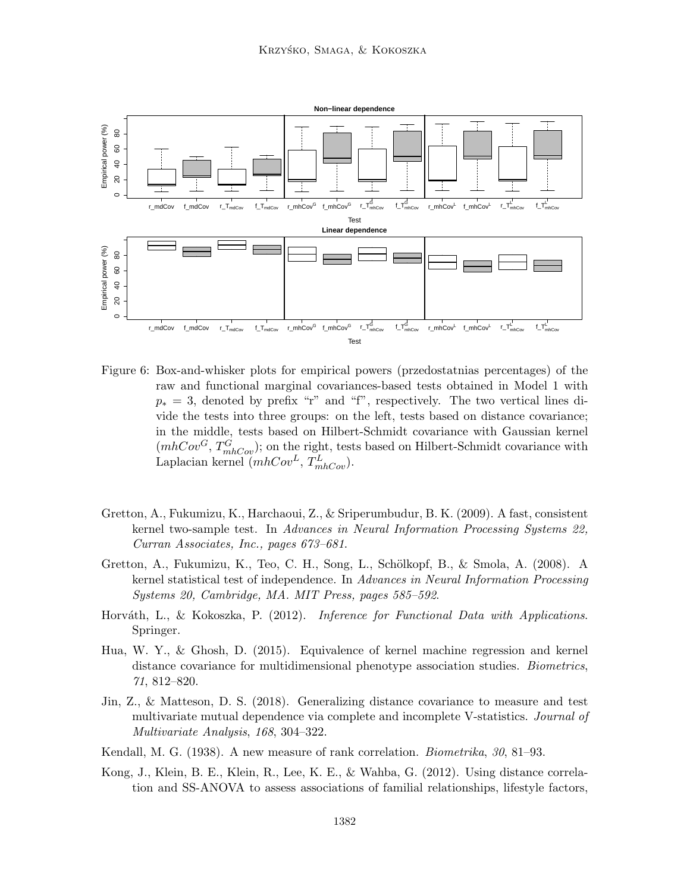

Figure 6: Box-and-whisker plots for empirical powers (przedostatnias percentages) of the raw and functional marginal covariances-based tests obtained in Model 1 with  $p_* = 3$ , denoted by prefix "r" and "f", respectively. The two vertical lines divide the tests into three groups: on the left, tests based on distance covariance; in the middle, tests based on Hilbert-Schmidt covariance with Gaussian kernel  $(mhCov<sup>G</sup>, T<sub>mhCov</sub><sup>G</sup>)$ ; on the right, tests based on Hilbert-Schmidt covariance with Laplacian kernel  $(mhCov^L, T_{mhCov}^L)$ .

- Gretton, A., Fukumizu, K., Harchaoui, Z., & Sriperumbudur, B. K. (2009). A fast, consistent kernel two-sample test. In Advances in Neural Information Processing Systems 22, Curran Associates, Inc., pages 673–681.
- Gretton, A., Fukumizu, K., Teo, C. H., Song, L., Schölkopf, B., & Smola, A. (2008). A kernel statistical test of independence. In Advances in Neural Information Processing Systems 20, Cambridge, MA. MIT Press, pages 585–592.
- Horváth, L., & Kokoszka, P. (2012). Inference for Functional Data with Applications. Springer.
- Hua, W. Y., & Ghosh, D. (2015). Equivalence of kernel machine regression and kernel distance covariance for multidimensional phenotype association studies. *Biometrics*, 71, 812–820.
- Jin, Z., & Matteson, D. S. (2018). Generalizing distance covariance to measure and test multivariate mutual dependence via complete and incomplete V-statistics. *Journal of* Multivariate Analysis, 168, 304–322.
- Kendall, M. G. (1938). A new measure of rank correlation. Biometrika, 30, 81–93.
- Kong, J., Klein, B. E., Klein, R., Lee, K. E., & Wahba, G. (2012). Using distance correlation and SS-ANOVA to assess associations of familial relationships, lifestyle factors,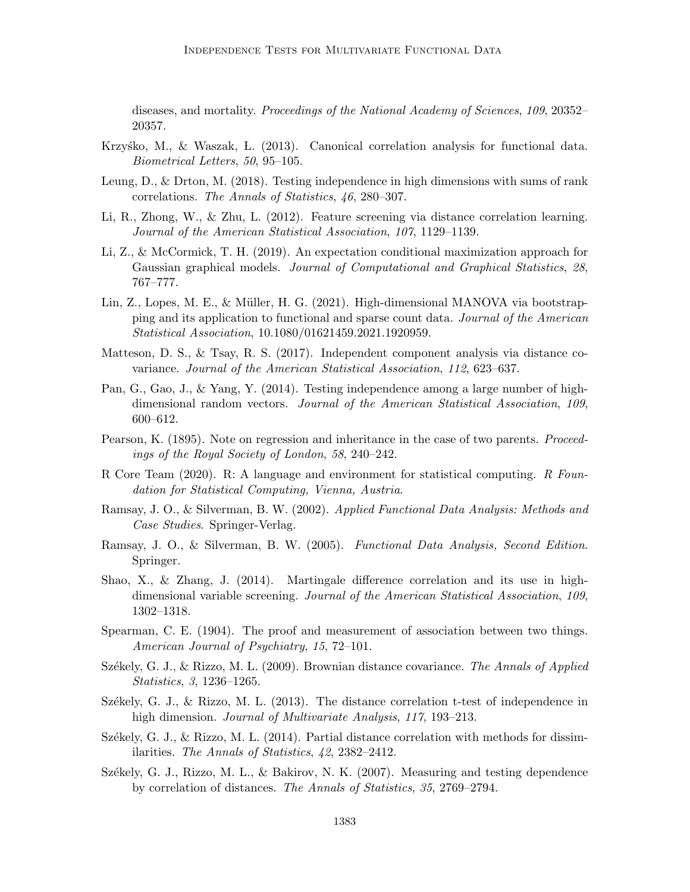diseases, and mortality. Proceedings of the National Academy of Sciences, 109, 20352– 20357.

- Krzysko, M.,  $\&$  Waszak, L. (2013). Canonical correlation analysis for functional data. Biometrical Letters, 50, 95–105.
- Leung, D., & Drton, M. (2018). Testing independence in high dimensions with sums of rank correlations. The Annals of Statistics, 46, 280–307.
- Li, R., Zhong, W., & Zhu, L. (2012). Feature screening via distance correlation learning. Journal of the American Statistical Association, 107, 1129–1139.
- Li, Z., & McCormick, T. H. (2019). An expectation conditional maximization approach for Gaussian graphical models. Journal of Computational and Graphical Statistics, 28, 767–777.
- Lin, Z., Lopes, M. E., & Müller, H. G. (2021). High-dimensional MANOVA via bootstrapping and its application to functional and sparse count data. Journal of the American Statistical Association, 10.1080/01621459.2021.1920959.
- Matteson, D. S., & Tsay, R. S. (2017). Independent component analysis via distance covariance. Journal of the American Statistical Association, 112, 623–637.
- Pan, G., Gao, J., & Yang, Y. (2014). Testing independence among a large number of highdimensional random vectors. Journal of the American Statistical Association, 109, 600–612.
- Pearson, K. (1895). Note on regression and inheritance in the case of two parents. *Proceed*ings of the Royal Society of London, 58, 240–242.
- R Core Team (2020). R: A language and environment for statistical computing. R Foundation for Statistical Computing, Vienna, Austria.
- Ramsay, J. O., & Silverman, B. W. (2002). Applied Functional Data Analysis: Methods and Case Studies. Springer-Verlag.
- Ramsay, J. O., & Silverman, B. W. (2005). Functional Data Analysis, Second Edition. Springer.
- Shao, X., & Zhang, J. (2014). Martingale difference correlation and its use in highdimensional variable screening. Journal of the American Statistical Association, 109, 1302–1318.
- Spearman, C. E. (1904). The proof and measurement of association between two things. American Journal of Psychiatry, 15, 72–101.
- Székely, G. J., & Rizzo, M. L. (2009). Brownian distance covariance. The Annals of Applied Statistics, 3, 1236–1265.
- Székely, G. J., & Rizzo, M. L. (2013). The distance correlation t-test of independence in high dimension. *Journal of Multivariate Analysis*, 117, 193–213.
- Székely, G. J., & Rizzo, M. L.  $(2014)$ . Partial distance correlation with methods for dissimilarities. The Annals of Statistics, 42, 2382–2412.
- Székely, G. J., Rizzo, M. L., & Bakirov, N. K. (2007). Measuring and testing dependence by correlation of distances. The Annals of Statistics, 35, 2769–2794.